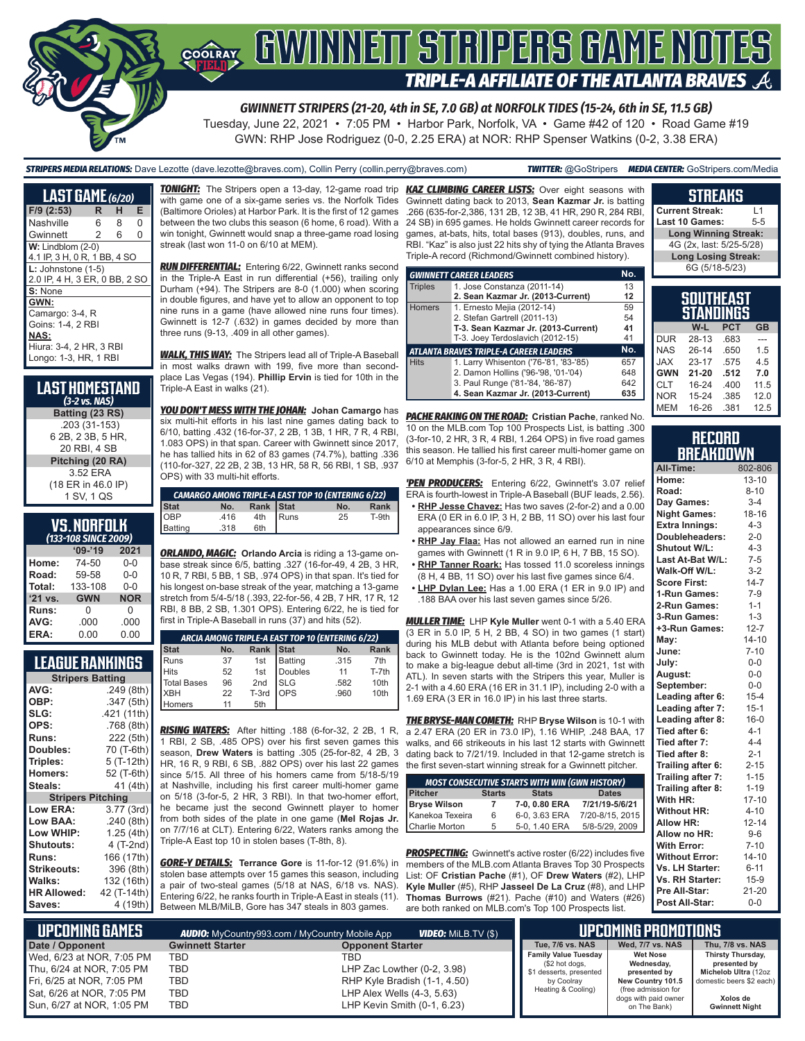

*GWINNETT STRIPERS (21-20, 4th in SE, 7.0 GB) at NORFOLK TIDES (15-24, 6th in SE, 11.5 GB)*

Tuesday, June 22, 2021 • 7:05 PM • Harbor Park, Norfolk, VA • Game #42 of 120 • Road Game #19 GWN: RHP Jose Rodriguez (0-0, 2.25 ERA) at NOR: RHP Spenser Watkins (0-2, 3.38 ERA)

*STRIPERS MEDIA RELATIONS:* Dave Lezotte (dave.lezotte@braves.com), Collin Perry (collin.perry@braves.com) *TWITTER:* @GoStripers *MEDIA CENTER:* GoStripers.com/Media

# **STREAKS**

**Current Streak:** L1 **Last 10 Games: Long Winning Streak:**

| <b>LAST GAME</b> (6/20)       |   |   |   |  |
|-------------------------------|---|---|---|--|
| F/9 (2:53)                    | R | н | Е |  |
| Nashville                     | 6 | 8 | O |  |
| Gwinnett                      | 2 | 6 | 0 |  |
| $W:$ Lindblom $(2-0)$         |   |   |   |  |
| 4.1 IP, 3 H, 0 R, 1 BB, 4 SO  |   |   |   |  |
| $L:$ Johnstone $(1-5)$        |   |   |   |  |
| 2.0 IP, 4 H, 3 ER, 0 BB, 2 SC |   |   |   |  |
| S: None                       |   |   |   |  |
| GWN:                          |   |   |   |  |
| Camargo: 3-4, R               |   |   |   |  |
| Goins: 1-4, 2 RBI             |   |   |   |  |
| NAS:                          |   |   |   |  |
| Hiura: 3-4, 2 HR, 3 RBI       |   |   |   |  |
| Longo: 1-3, HR, 1 RBI         |   |   |   |  |
|                               |   |   |   |  |

#### **LAST HOMESTAND**  *(3-2 vs. NAS)* **Batting (23 RS)** .203 (31-153) 6 2B, 2 3B, 5 HR, 20 RBI, 4 SB **Pitching (20 RA)** 3.52 ERA (18 ER in 46.0 IP) 1 SV, 1 QS

# **VS. NORFOLK**

| (133-108 SINCE 2009) |                    |            |  |  |
|----------------------|--------------------|------------|--|--|
|                      | $'09-'19$          | 2021       |  |  |
| Home:                | 74-50              | $0 - 0$    |  |  |
| Road:                | 59-58              | $0 - 0$    |  |  |
| Total:               | 133-108<br>$0 - 0$ |            |  |  |
| '21 vs.              | <b>GWN</b>         | <b>NOR</b> |  |  |
| Runs:                | U                  | 0          |  |  |
| AVG:                 | .000               | .000       |  |  |
| ERA:                 | 0.00               | 0.00       |  |  |

# **LEAGUE RANKINGS**

| AVG:<br>.249(8th)<br>OBP:<br>.347 (5th)<br>SLG:<br>.421 (11th)<br>OPS:<br>.768 (8th)<br>222 (5th)<br>Runs:<br>70 (T-6th)<br>Doubles:<br>5 (T-12th)<br>Triples:<br>52 (T-6th)<br>Homers:<br>41 (4th)<br>Steals:<br><b>Stripers Pitching</b> |
|--------------------------------------------------------------------------------------------------------------------------------------------------------------------------------------------------------------------------------------------|
|                                                                                                                                                                                                                                            |
|                                                                                                                                                                                                                                            |
|                                                                                                                                                                                                                                            |
|                                                                                                                                                                                                                                            |
|                                                                                                                                                                                                                                            |
|                                                                                                                                                                                                                                            |
|                                                                                                                                                                                                                                            |
|                                                                                                                                                                                                                                            |
|                                                                                                                                                                                                                                            |
|                                                                                                                                                                                                                                            |
| Low ERA:<br>3.77 (3rd)                                                                                                                                                                                                                     |
| Low BAA:<br>.240(8th)                                                                                                                                                                                                                      |
| Low WHIP:<br>1.25(4th)                                                                                                                                                                                                                     |
| 4 (T-2nd)<br><b>Shutouts:</b>                                                                                                                                                                                                              |
| 166 (17th)<br>Runs:                                                                                                                                                                                                                        |
| <b>Strikeouts:</b><br>396 (8th)                                                                                                                                                                                                            |
| Walks:<br>132 (16th)                                                                                                                                                                                                                       |
| <b>HR Allowed:</b><br>42 (T-14th)                                                                                                                                                                                                          |
| 4 (19th)<br>Saves:                                                                                                                                                                                                                         |

with game one of a six-game series vs. the Norfolk Tides (Baltimore Orioles) at Harbor Park. It is the first of 12 games between the two clubs this season (6 home, 6 road). With a win tonight, Gwinnett would snap a three-game road losing streak (last won 11-0 on 6/10 at MEM).

*RUN DIFFERENTIAL:* Entering 6/22, Gwinnett ranks second in the Triple-A East in run differential (+56), trailing only Durham (+94). The Stripers are 8-0 (1.000) when scoring in double figures, and have yet to allow an opponent to top nine runs in a game (have allowed nine runs four times). Gwinnett is 12-7 (.632) in games decided by more than three runs (9-13, .409 in all other games).

*WALK, THIS WAY:* The Stripers lead all of Triple-A Baseball in most walks drawn with 199, five more than secondplace Las Vegas (194). **Phillip Ervin** is tied for 10th in the Triple-A East in walks (21).

*YOU DON'T MESS WITH THE JOHAN:* **Johan Camargo** has six multi-hit efforts in his last nine games dating back to 6/10, batting .432 (16-for-37, 2 2B, 1 3B, 1 HR, 7 R, 4 RBI, 1.083 OPS) in that span. Career with Gwinnett since 2017, he has tallied hits in 62 of 83 games (74.7%), batting .336 (110-for-327, 22 2B, 2 3B, 13 HR, 58 R, 56 RBI, 1 SB, .937 OPS) with 33 multi-hit efforts.

| <b>CAMARGO AMONG TRIPLE-A EAST TOP 10 (ENTERING 6/22)</b> |      |           |          |     |       |
|-----------------------------------------------------------|------|-----------|----------|-----|-------|
|                                                           | No.  | Rank Stat |          | No. | Rank  |
|                                                           | .416 |           | 4th Runs | 25  | T-9th |
| Stat<br>OBP<br>Batting                                    | .318 | 6th       |          |     |       |

*ORLANDO, MAGIC:* **Orlando Arcia** is riding a 13-game onbase streak since 6/5, batting .327 (16-for-49, 4 2B, 3 HR, 10 R, 7 RBI, 5 BB, 1 SB, .974 OPS) in that span. It's tied for his longest on-base streak of the year, matching a 13-game stretch from 5/4-5/18 (.393, 22-for-56, 4.2B, 7 HR, 17 R, 12 RBI, 8 BB, 2 SB, 1.301 OPS). Entering 6/22, he is tied for first in Triple-A Baseball in runs (37) and hits (52).

|  | ARCIA AMONG TRIPLE-A EAST TOP 10 (ENTERING 6/22) |     |           |              |      |       |
|--|--------------------------------------------------|-----|-----------|--------------|------|-------|
|  | <b>Stat</b>                                      | No. | Rank Stat |              | No.  | Rank  |
|  | Runs                                             | 37  | 1st       | Batting      | .315 | 7th   |
|  | <b>Hits</b>                                      | 52  | 1st       | Doubles      | 11   | T-7th |
|  | <b>Total Bases</b>                               | 96  | 2nd       | <b>SLG</b>   | .582 | 10th  |
|  | <b>XBH</b>                                       | 22  | T-3rd     | <b>l</b> ops | .960 | 10th  |
|  | Iomers                                           | 11  | 5th       |              |      |       |

*RISING WATERS:* After hitting .188 (6-for-32, 2 2B, 1 R, 1 RBI, 2 SB, .485 OPS) over his first seven games this season, **Drew Waters** is batting .305 (25-for-82, 4 2B, 3 HR, 16 R, 9 RBI, 6 SB, .882 OPS) over his last 22 games since 5/15. All three of his homers came from 5/18-5/19 at Nashville, including his first career multi-homer game on 5/18 (3-for-5, 2 HR, 3 RBI). In that two-homer effort, he became just the second Gwinnett player to homer from both sides of the plate in one game (**Mel Rojas Jr.** on 7/7/16 at CLT). Entering 6/22, Waters ranks among the Triple-A East top 10 in stolen bases (T-8th, 8).

*GORE-Y DETAILS:* **Terrance Gore** is 11-for-12 (91.6%) in stolen base attempts over 15 games this season, including a pair of two-steal games (5/18 at NAS, 6/18 vs. NAS). Entering 6/22, he ranks fourth in Triple-A East in steals (11). Between MLB/MiLB, Gore has 347 steals in 803 games.

*TONIGHT:* The Stripers open a 13-day, 12-game road trip *KAZ CLIMBING CAREER LISTS:* Over eight seasons with Gwinnett dating back to 2013, **Sean Kazmar Jr.** is batting .266 (635-for-2,386, 131 2B, 12 3B, 41 HR, 290 R, 284 RBI, 24 SB) in 695 games. He holds Gwinnett career records for games, at-bats, hits, total bases (913), doubles, runs, and RBI. "Kaz" is also just 22 hits shy of tying the Atlanta Braves Triple-A record (Richmond/Gwinnett combined history).

|                | <b>GWINNETT CAREER LEADERS</b>                | No. |
|----------------|-----------------------------------------------|-----|
| <b>Triples</b> | 1. Jose Constanza (2011-14)                   | 13  |
|                | 2. Sean Kazmar Jr. (2013-Current)             | 12  |
| <b>Homers</b>  | 1. Ernesto Mejia (2012-14)                    | 59  |
|                | 2. Stefan Gartrell (2011-13)                  | 54  |
|                | T-3. Sean Kazmar Jr. (2013-Current)           | 41  |
|                | T-3. Joey Terdoslavich (2012-15)              | 41  |
|                | <b>ATLANTA BRAVES TRIPLE-A CAREER LEADERS</b> | No. |
| <b>Hits</b>    | 1. Larry Whisenton ('76-'81, '83-'85)         | 657 |
|                | 2. Damon Hollins ('96-'98, '01-'04)           | 648 |
|                | 3. Paul Runge ('81-'84, '86-'87)              | 642 |
|                | 4. Sean Kazmar Jr. (2013-Current)             | 635 |

*PACHE RAKING ON THE ROAD:* **Cristian Pache**, ranked No. 10 on the MLB.com Top 100 Prospects List, is batting .300 (3-for-10, 2 HR, 3 R, 4 RBI, 1.264 OPS) in five road games this season. He tallied his first career multi-homer game on 6/10 at Memphis (3-for-5, 2 HR, 3 R, 4 RBI).

*'PEN PRODUCERS:* Entering 6/22, Gwinnett's 3.07 relief ERA is fourth-lowest in Triple-A Baseball (BUF leads, 2.56).

- **• RHP Jesse Chavez:** Has two saves (2-for-2) and a 0.00 ERA (0 ER in 6.0 IP, 3 H, 2 BB, 11 SO) over his last four appearances since 6/9.
- **• RHP Jay Flaa:** Has not allowed an earned run in nine games with Gwinnett (1 R in 9.0 IP, 6 H, 7 BB, 15 SO).
- **• RHP Tanner Roark:** Has tossed 11.0 scoreless innings (8 H, 4 BB, 11 SO) over his last five games since 6/4.
- **• LHP Dylan Lee:** Has a 1.00 ERA (1 ER in 9.0 IP) and .188 BAA over his last seven games since 5/26.

*MULLER TIME:* LHP **Kyle Muller** went 0-1 with a 5.40 ERA (3 ER in 5.0 IP, 5 H, 2 BB, 4 SO) in two games (1 start) during his MLB debut with Atlanta before being optioned back to Gwinnett today. He is the 102nd Gwinnett alum to make a big-league debut all-time (3rd in 2021, 1st with ATL). In seven starts with the Stripers this year, Muller is 2-1 with a 4.60 ERA (16 ER in 31.1 IP), including 2-0 with a 1.69 ERA (3 ER in 16.0 IP) in his last three starts.

*THE BRYSE-MAN COMETH:* RHP **Bryse Wilson** is 10-1 with a 2.47 ERA (20 ER in 73.0 IP), 1.16 WHIP, .248 BAA, 17 walks, and 66 strikeouts in his last 12 starts with Gwinnett dating back to 7/21/19. Included in that 12-game stretch is the first seven-start winning streak for a Gwinnett pitcher.

| <b>MOST CONSECUTIVE STARTS WITH WIN (GWN HISTORY)</b> |               |               |                    |  |
|-------------------------------------------------------|---------------|---------------|--------------------|--|
| <b>Pitcher</b>                                        | <b>Starts</b> | <b>Stats</b>  | <b>Dates</b>       |  |
| <b>Bryse Wilson</b>                                   | 7             | 7-0.0.80 ERA  | 7/21/19-5/6/21     |  |
| Kanekoa Texeira                                       | 6             | 6-0, 3.63 ERA | 7/20-8/15, 2015    |  |
| <b>Charlie Morton</b>                                 | 5             | 5-0.1.40 ERA  | $5/8 - 5/29, 2009$ |  |

**PROSPECTING:** Gwinnett's active roster (6/22) includes five members of the MLB.com Atlanta Braves Top 30 Prospects List: OF **Cristian Pache** (#1), OF **Drew Waters** (#2), LHP **Kyle Muller** (#5), RHP **Jasseel De La Cruz** (#8), and LHP **Thomas Burrows** (#21). Pache (#10) and Waters (#26) are both ranked on MLB.com's Top 100 Prospects list.

| 4G (2x, last: 5/25-5/28)   |           |            |           |  |
|----------------------------|-----------|------------|-----------|--|
| <b>Long Losing Streak:</b> |           |            |           |  |
| 6G (5/18-5/23)             |           |            |           |  |
|                            |           |            |           |  |
|                            |           |            |           |  |
| <b>SOUTHEAST</b>           |           |            |           |  |
| <b>STANDINGS</b>           |           |            |           |  |
|                            |           |            |           |  |
|                            | W-L       | <b>PCT</b> | <b>GB</b> |  |
| <b>DUR</b>                 | 28-13     | .683       |           |  |
| <b>NAS</b>                 | $26-14$   | .650       | 1.5       |  |
| <b>JAX</b>                 | $23 - 17$ | .575       | 4.5       |  |

| RECORD    |
|-----------|
| BREAKDOWN |

CLT 16-24 .400 11.5  $15 - 24$ MEM 16-26 .381 12.5

| All-Time:             | 802-806   |
|-----------------------|-----------|
| Home:                 | $13 - 10$ |
| Road:                 | $8 - 10$  |
| Day Games:            | $3 - 4$   |
| <b>Night Games:</b>   | 18-16     |
| <b>Extra Innings:</b> | $4 - 3$   |
| Doubleheaders:        | $2 - 0$   |
| <b>Shutout W/L:</b>   | $4 - 3$   |
| Last At-Bat W/L:      | $7 - 5$   |
| Walk-Off W/L:         | $3-2$     |
| <b>Score First:</b>   | $14 - 7$  |
| 1-Run Games:          | $7-9$     |
| 2-Run Games:          | $1 - 1$   |
| 3-Run Games:          | $1 - 3$   |
| +3-Run Games:         | $12 - 7$  |
| May:                  | $14 - 10$ |
| June:                 | $7 - 10$  |
| Julv:                 | $0-0$     |
| August:               | $0-0$     |
| September:            | $0-0$     |
| Leading after 6:      | $15 - 4$  |
| Leading after 7:      | $15 - 1$  |
| Leading after 8:      | $16 - 0$  |
| Tied after 6:         | $4 - 1$   |
| Tied after 7:         | $4 - 4$   |
| Tied after 8:         | $2 - 1$   |
| Trailing after 6:     | $2 - 15$  |
| Trailing after 7:     | $1 - 15$  |
| Trailing after 8:     | $1 - 19$  |
| With HR:              | $17 - 10$ |
| <b>Without HR:</b>    | $4 - 10$  |
| <b>Allow HR:</b>      | $12 - 14$ |
| Allow no HR:          | $9 - 6$   |
| <b>With Error:</b>    | $7 - 10$  |
| <b>Without Error:</b> | 14-10     |
| Vs. LH Starter:       | $6 - 11$  |
| Vs. RH Starter:       | $15-9$    |
| Pre All-Star:         | $21 - 20$ |
| Post All-Star:        | $0 - 0$   |

| I UPCOMIÑG GAMES I        |                         | <b>VIDEO:</b> Milb.TV (\$)<br><b>AUDIO:</b> MyCountry993.com / MyCountry Mobile App |                                           | 'UPCOMING PROMOTIONS                        |                                      |
|---------------------------|-------------------------|-------------------------------------------------------------------------------------|-------------------------------------------|---------------------------------------------|--------------------------------------|
| Date / Opponent           | <b>Gwinnett Starter</b> | <b>Opponent Starter</b>                                                             | Tue. 7/6 vs. NAS                          | Wed. 7/7 vs. NAS                            | Thu, 7/8 vs. NAS                     |
| Wed, 6/23 at NOR, 7:05 PM | TBD                     | TBD                                                                                 | <b>Family Value Tuesday</b>               | <b>Wet Nose</b><br>Wednesday,               | Thirsty Thursday,                    |
| Thu. 6/24 at NOR. 7:05 PM | TBD                     | LHP Zac Lowther $(0-2, 3.98)$                                                       | (\$2 hot dogs,<br>\$1 desserts, presented | presented by                                | presented by<br>Michelob Ultra (12oz |
| Fri, 6/25 at NOR, 7:05 PM | <b>TBD</b>              | RHP Kyle Bradish (1-1, 4.50)                                                        | by Coolray                                | New Country 101.5                           | domestic beers \$2 each)             |
| Sat, 6/26 at NOR, 7:05 PM | TBD                     | LHP Alex Wells (4-3, 5.63)                                                          | Heating & Cooling)                        | (free admission for<br>dogs with paid owner | Xolos de                             |
| Sun, 6/27 at NOR, 1:05 PM | TBD                     | LHP Kevin Smith (0-1, 6.23)                                                         |                                           | on The Bank)                                | <b>Gwinnett Night</b>                |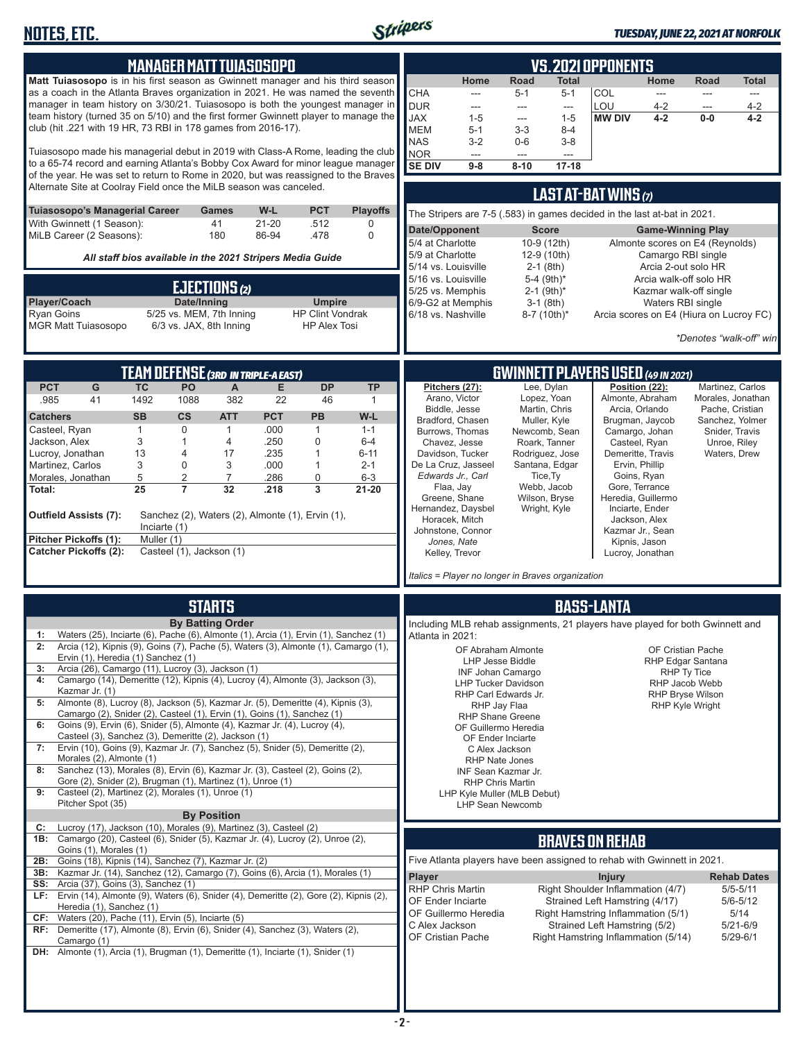

#### *TUESDAY, JUNE 22, 2021 AT NORFOLK*

| <b>MANAGER MATT TUIASOSOPO</b><br>Matt Tuiasosopo is in his first season as Gwinnett manager and his third season<br>as a coach in the Atlanta Braves organization in 2021. He was named the seventh<br>manager in team history on 3/30/21. Tuiasosopo is both the youngest manager in<br>team history (turned 35 on 5/10) and the first former Gwinnett player to manage the<br>club (hit .221 with 19 HR, 73 RBI in 178 games from 2016-17).<br>Tuiasosopo made his managerial debut in 2019 with Class-A Rome, leading the club<br>to a 65-74 record and earning Atlanta's Bobby Cox Award for minor league manager<br>of the year. He was set to return to Rome in 2020, but was reassigned to the Braves<br>Alternate Site at Coolray Field once the MiLB season was canceled.<br>W-L<br><b>PCT</b><br><b>Playoffs</b><br><b>Tuiasosopo's Managerial Career</b><br>Games<br>With Gwinnett (1 Season):<br>41<br>$21 - 20$<br>.512<br>0<br>MiLB Career (2 Seasons):<br>86-94<br>.478<br>$\mathbf 0$<br>180                                                                                                                             | <b>VS. 2021 OPPONENTS</b><br>Road<br>Home<br>Total<br>Home<br>Road<br>Total<br><b>CHA</b><br>COL<br>$5 - 1$<br>$5 - 1$<br>$---$<br>$\overline{a}$<br>$---$<br>$\cdots$<br><b>DUR</b><br>LOU<br>$4 - 2$<br>$4 - 2$<br>$\overline{a}$<br>$\overline{a}$<br>$\overline{a}$<br>$\overline{a}$<br><b>JAX</b><br>$1 - 5$<br>$1 - 5$<br><b>MW DIV</b><br>$4 - 2$<br>$0-0$<br>4-2<br>---<br><b>MEM</b><br>$5 - 1$<br>$3 - 3$<br>$8 - 4$<br><b>NAS</b><br>$3-2$<br>$0-6$<br>$3 - 8$<br>NOR<br>---<br>---<br><b>SE DIV</b><br>$17 - 18$<br>$9 - 8$<br>$8 - 10$<br>LAST AT-BAT WINS (7)<br>The Stripers are 7-5 (.583) in games decided in the last at-bat in 2021.<br>Date/Opponent<br><b>Score</b><br><b>Game-Winning Play</b><br>5/4 at Charlotte<br>10-9 (12th)<br>Almonte scores on E4 (Reynolds)                                                                                                                                                                                                                                                       |
|-------------------------------------------------------------------------------------------------------------------------------------------------------------------------------------------------------------------------------------------------------------------------------------------------------------------------------------------------------------------------------------------------------------------------------------------------------------------------------------------------------------------------------------------------------------------------------------------------------------------------------------------------------------------------------------------------------------------------------------------------------------------------------------------------------------------------------------------------------------------------------------------------------------------------------------------------------------------------------------------------------------------------------------------------------------------------------------------------------------------------------------------|---------------------------------------------------------------------------------------------------------------------------------------------------------------------------------------------------------------------------------------------------------------------------------------------------------------------------------------------------------------------------------------------------------------------------------------------------------------------------------------------------------------------------------------------------------------------------------------------------------------------------------------------------------------------------------------------------------------------------------------------------------------------------------------------------------------------------------------------------------------------------------------------------------------------------------------------------------------------------------------------------------------------------------------------------|
| All staff bios available in the 2021 Stripers Media Guide<br><b>EJECTIONS</b> <sup>(2)</sup><br>Date/Inning<br>Player/Coach<br><b>Umpire</b><br><b>Ryan Goins</b><br>5/25 vs. MEM, 7th Inning<br><b>HP Clint Vondrak</b><br>6/3 vs. JAX, 8th Inning<br><b>MGR Matt Tuiasosopo</b><br><b>HP Alex Tosi</b>                                                                                                                                                                                                                                                                                                                                                                                                                                                                                                                                                                                                                                                                                                                                                                                                                                  | 5/9 at Charlotte<br>12-9 (10th)<br>Camargo RBI single<br>5/14 vs. Louisville<br>$2-1$ (8th)<br>Arcia 2-out solo HR<br>5-4 (9th)*<br>5/16 vs. Louisville<br>Arcia walk-off solo HR<br>$2-1$ (9th)*<br>5/25 vs. Memphis<br>Kazmar walk-off single<br>6/9-G2 at Memphis<br>$3-1$ (8th)<br>Waters RBI single<br>6/18 vs. Nashville<br>Arcia scores on E4 (Hiura on Lucroy FC)<br>8-7 (10th)*<br>*Denotes "walk-off" win                                                                                                                                                                                                                                                                                                                                                                                                                                                                                                                                                                                                                               |
| <b>TEAM DEFENSE (3RD IN TRIPLE-A EAST)</b><br><b>PCT</b><br>PO<br><b>DP</b><br><b>TP</b><br>G<br><b>TC</b><br>A<br>E<br>41<br>.985<br>1492<br>1088<br>382<br>22<br>46<br>$\mathbf{1}$<br><b>PCT</b><br><b>SB</b><br><b>CS</b><br><b>ATT</b><br>PB<br>W-L<br><b>Catchers</b><br>1<br>.000<br>Casteel, Ryan<br>$\mathbf 0$<br>$\mathbf{1}$<br>$\mathbf{1}$<br>$1 - 1$<br>.250<br>0<br>Jackson, Alex<br>3<br>1<br>$6-4$<br>4<br>.235<br>Lucroy, Jonathan<br>13<br>17<br>1<br>6-11<br>4<br>3<br>Martinez, Carlos<br>0<br>3<br>.000<br>$2 - 1$<br>1<br>5<br>$\overline{2}$<br>$\overline{7}$<br>0<br>Morales, Jonathan<br>.286<br>$6 - 3$<br>25<br>$\overline{7}$<br>32<br>.218<br>3<br>21-20<br>Total:<br><b>Outfield Assists (7):</b><br>Sanchez (2), Waters (2), Almonte (1), Ervin (1),<br>Inciarte (1)<br>Pitcher Pickoffs (1):<br>Muller (1)<br>Casteel (1), Jackson (1)<br><b>Catcher Pickoffs (2):</b>                                                                                                                                                                                                                                 | <b>GWINNETT PLAYERS USED (49 IN 2021)</b><br>Lee, Dylan<br>Position (22):<br>Pitchers (27):<br>Martinez, Carlos<br>Arano, Victor<br>Almonte, Abraham<br>Lopez, Yoan<br>Morales, Jonathan<br>Martin, Chris<br>Arcia, Orlando<br>Biddle, Jesse<br>Pache, Cristian<br>Bradford, Chasen<br>Brugman, Jaycob<br>Muller, Kyle<br>Sanchez, Yolmer<br>Camargo, Johan<br>Burrows, Thomas<br>Newcomb, Sean<br>Snider, Travis<br>Chavez, Jesse<br>Roark, Tanner<br>Casteel, Ryan<br>Unroe, Riley<br>Davidson, Tucker<br>Rodriguez, Jose<br>Demeritte, Travis<br>Waters, Drew<br>De La Cruz, Jasseel<br>Santana, Edgar<br>Ervin, Phillip<br>Edwards Jr., Carl<br>Tice, Ty<br>Goins, Ryan<br>Webb, Jacob<br>Gore, Terrance<br>Flaa, Jay<br>Greene, Shane<br>Wilson, Bryse<br>Heredia, Guillermo<br>Hernandez, Daysbel<br>Wright, Kyle<br>Inciarte, Ender<br>Horacek, Mitch<br>Jackson, Alex<br>Johnstone, Connor<br>Kazmar Jr., Sean<br>Jones, Nate<br>Kipnis, Jason<br>Kelley, Trevor<br>Lucroy, Jonathan<br>Italics = Player no longer in Braves organization |
| <b>STARTS</b><br><b>By Batting Order</b><br>1: Waters (25), Inciarte (6), Pache (6), Almonte (1), Arcia (1), Ervin (1), Sanchez (1)<br>2: Arcia (12), Kipnis (9), Goins (7), Pache (5), Waters (3), Almonte (1), Camargo (1),<br>Ervin (1), Heredia (1) Sanchez (1)<br>Arcia (26), Camargo (11), Lucroy (3), Jackson (1)<br>3:<br>Camargo (14), Demeritte (12), Kipnis (4), Lucroy (4), Almonte (3), Jackson (3),<br>4:<br>Kazmar Jr. (1)<br>Almonte (8), Lucroy (8), Jackson (5), Kazmar Jr. (5), Demeritte (4), Kipnis (3),<br>5:<br>Camargo (2), Snider (2), Casteel (1), Ervin (1), Goins (1), Sanchez (1)<br>Goins (9), Ervin (6), Snider (5), Almonte (4), Kazmar Jr. (4), Lucroy (4),<br>6:<br>Casteel (3), Sanchez (3), Demeritte (2), Jackson (1)<br>Ervin (10), Goins (9), Kazmar Jr. (7), Sanchez (5), Snider (5), Demeritte (2),<br>7:<br>Morales (2), Almonte (1)<br>Sanchez (13), Morales (8), Ervin (6), Kazmar Jr. (3), Casteel (2), Goins (2),<br>8:<br>Gore (2), Snider (2), Brugman (1), Martinez (1), Unroe (1)<br>9:<br>Casteel (2), Martinez (2), Morales (1), Unroe (1)<br>Pitcher Spot (35)<br><b>By Position</b> | <b>BASS-LANTA</b><br>Including MLB rehab assignments, 21 players have played for both Gwinnett and<br>Atlanta in 2021:<br>OF Abraham Almonte<br>OF Cristian Pache<br>LHP Jesse Biddle<br>RHP Edgar Santana<br><b>INF Johan Camargo</b><br>RHP Ty Tice<br><b>LHP Tucker Davidson</b><br>RHP Jacob Webb<br>RHP Carl Edwards Jr.<br><b>RHP Bryse Wilson</b><br><b>RHP Kyle Wright</b><br>RHP Jay Flaa<br><b>RHP Shane Greene</b><br>OF Guillermo Heredia<br>OF Ender Inciarte<br>C Alex Jackson<br>RHP Nate Jones<br>INF Sean Kazmar Jr.<br><b>RHP Chris Martin</b><br>LHP Kyle Muller (MLB Debut)<br>LHP Sean Newcomb                                                                                                                                                                                                                                                                                                                                                                                                                               |
| Lucroy (17), Jackson (10), Morales (9), Martinez (3), Casteel (2)<br>C:<br>1B: Camargo (20), Casteel (6), Snider (5), Kazmar Jr. (4), Lucroy (2), Unroe (2),<br>Goins (1), Morales (1)<br>Goins (18), Kipnis (14), Sanchez (7), Kazmar Jr. (2)<br>2B:<br>3B:<br>Kazmar Jr. (14), Sanchez (12), Camargo (7), Goins (6), Arcia (1), Morales (1)<br><b>SS:</b> Arcia (37), Goins (3), Sanchez (1)<br>LF: Ervin (14), Almonte (9), Waters (6), Snider (4), Demeritte (2), Gore (2), Kipnis (2),<br>Heredia (1), Sanchez (1)<br>CF: Waters (20), Pache (11), Ervin (5), Inciarte (5)<br>RF: Demeritte (17), Almonte (8), Ervin (6), Snider (4), Sanchez (3), Waters (2),<br>Camargo (1)<br><b>DH:</b> Almonte (1), Arcia (1), Brugman (1), Demeritte (1), Inciarte (1), Snider (1)                                                                                                                                                                                                                                                                                                                                                             | <b>BRAVES ON REHAB</b><br>Five Atlanta players have been assigned to rehab with Gwinnett in 2021.<br>Player<br><b>Injury</b><br><b>Rehab Dates</b><br>Right Shoulder Inflammation (4/7)<br><b>RHP Chris Martin</b><br>$5/5 - 5/11$<br>OF Ender Inciarte<br>Strained Left Hamstring (4/17)<br>$5/6 - 5/12$<br>OF Guillermo Heredia<br>Right Hamstring Inflammation (5/1)<br>5/14<br>C Alex Jackson<br>Strained Left Hamstring (5/2)<br>$5/21 - 6/9$<br>OF Cristian Pache<br>Right Hamstring Inflammation (5/14)<br>$5/29 - 6/1$                                                                                                                                                                                                                                                                                                                                                                                                                                                                                                                    |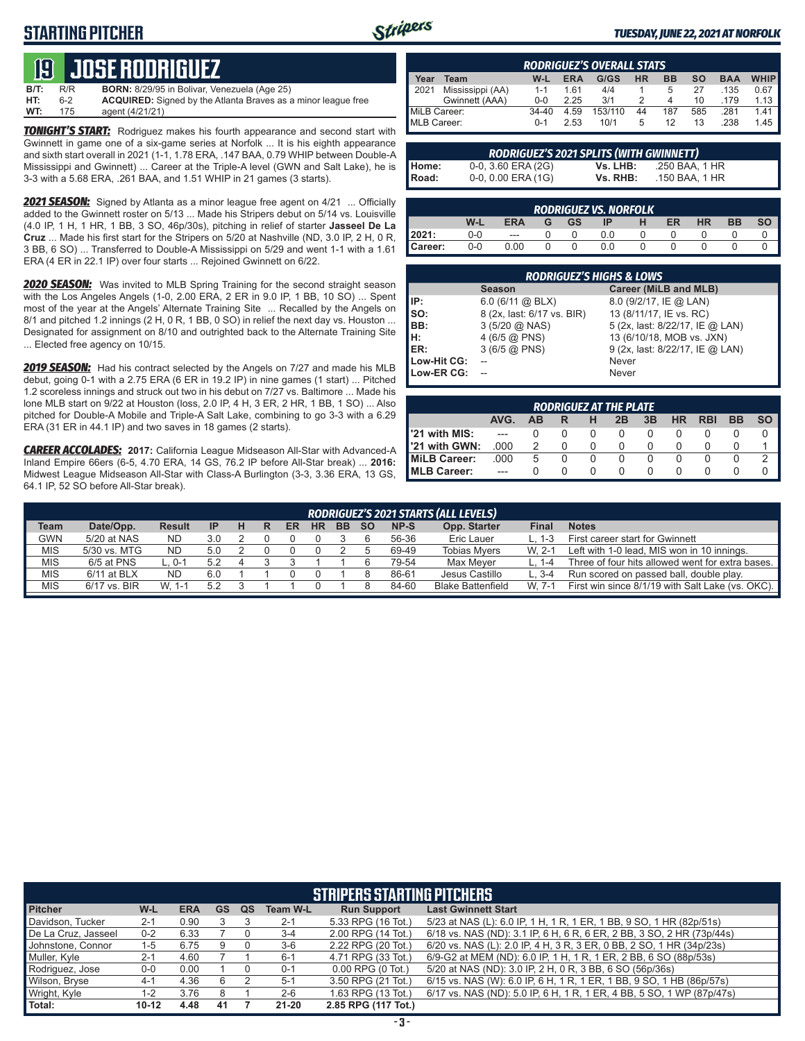# **STARTING PITCHER**



#### *TUESDAY, JUNE 22, 2021 AT NORFOLK*

# **19****JOSE RODRIGUEZ**

| <b>B/T:</b> | R/R | <b>BORN:</b> 8/29/95 in Bolivar, Venezuela (Age 25)                  |
|-------------|-----|----------------------------------------------------------------------|
| HT:         | հ-2 | <b>ACQUIRED:</b> Signed by the Atlanta Braves as a minor league free |
| WT:         | 175 | agent (4/21/21)                                                      |

**TONIGHT'S START:** Rodriguez makes his fourth appearance and second start with Gwinnett in game one of a six-game series at Norfolk ... It is his eighth appearance and sixth start overall in 2021 (1-1, 1.78 ERA, .147 BAA, 0.79 WHIP between Double-A Mississippi and Gwinnett) ... Career at the Triple-A level (GWN and Salt Lake), he is 3-3 with a 5.68 ERA, .261 BAA, and 1.51 WHIP in 21 games (3 starts).

*2021 SEASON:* Signed by Atlanta as a minor league free agent on 4/21 ... Officially added to the Gwinnett roster on 5/13 ... Made his Stripers debut on 5/14 vs. Louisville (4.0 IP, 1 H, 1 HR, 1 BB, 3 SO, 46p/30s), pitching in relief of starter **Jasseel De La Cruz** ... Made his first start for the Stripers on 5/20 at Nashville (ND, 3.0 IP, 2 H, 0 R, 3 BB, 6 SO) ... Transferred to Double-A Mississippi on 5/29 and went 1-1 with a 1.61 ERA (4 ER in 22.1 IP) over four starts ... Rejoined Gwinnett on 6/22.

*2020 SEASON:* Was invited to MLB Spring Training for the second straight season with the Los Angeles Angels (1-0, 2.00 ERA, 2 ER in 9.0 IP, 1 BB, 10 SO) ... Spent most of the year at the Angels' Alternate Training Site ... Recalled by the Angels on 8/1 and pitched 1.2 innings (2 H, 0 R, 1 BB, 0 SO) in relief the next day vs. Houston ... Designated for assignment on 8/10 and outrighted back to the Alternate Training Site ... Elected free agency on 10/15.

*2019 SEASON:* Had his contract selected by the Angels on 7/27 and made his MLB debut, going 0-1 with a 2.75 ERA (6 ER in 19.2 IP) in nine games (1 start) ... Pitched 1.2 scoreless innings and struck out two in his debut on 7/27 vs. Baltimore ... Made his lone MLB start on 9/22 at Houston (loss, 2.0 IP, 4 H, 3 ER, 2 HR, 1 BB, 1 SO) ... Also pitched for Double-A Mobile and Triple-A Salt Lake, combining to go 3-3 with a 6.29 ERA (31 ER in 44.1 IP) and two saves in 18 games (2 starts).

*CAREER ACCOLADES:* **2017:** California League Midseason All-Star with Advanced-A Inland Empire 66ers (6-5, 4.70 ERA, 14 GS, 76.2 IP before All-Star break) ... **2016:** Midwest League Midseason All-Star with Class-A Burlington (3-3, 3.36 ERA, 13 GS, 64.1 IP, 52 SO before All-Star break).

|              | <b>RODRIGUEZ'S OVERALL STATS</b> |         |            |         |           |           |           |            |             |  |
|--------------|----------------------------------|---------|------------|---------|-----------|-----------|-----------|------------|-------------|--|
| Year         | Team                             | W-L     | <b>ERA</b> | G/GS    | <b>HR</b> | <b>BB</b> | <b>SO</b> | <b>BAA</b> | <b>WHIP</b> |  |
| 2021         | Mississippi (AA)                 | $1 - 1$ | 161        | 4/4     |           | 5         | 27        | .135       | 0.67        |  |
|              | Gwinnett (AAA)                   | $0 - 0$ | 2.25       | 3/1     |           | 4         | 10        | .179       | 1.13        |  |
| MiLB Career: |                                  | 34-40   | 4.59       | 153/110 | 44        | 187       | 585       | .281       | 1.41        |  |
| MLB Career:  |                                  | $0 - 1$ | 2.53       | 10/1    | 5         | 12        | 13        | .238       | 1.45        |  |

| RODRIGUEZ'S 2021 SPLITS (WITH GWINNETT) |                    |          |                |  |  |  |  |  |  |  |
|-----------------------------------------|--------------------|----------|----------------|--|--|--|--|--|--|--|
|                                         | 0-0, 3.60 ERA (2G) | Vs. LHB: | .250 BAA. 1 HR |  |  |  |  |  |  |  |
| Home:<br>Road:                          | 0-0, 0.00 ERA (1G) | Vs. RHB: | .150 BAA. 1 HR |  |  |  |  |  |  |  |

|         |     |          |   |           | <b>RODRIGUEZ VS. NORFOLK</b> |    |           |           |  |
|---------|-----|----------|---|-----------|------------------------------|----|-----------|-----------|--|
|         | W-L | ERA      | G | <b>GS</b> | IP                           | ER | <b>HR</b> | <b>BB</b> |  |
| 2021:   | 0-0 | $\cdots$ |   |           |                              |    |           |           |  |
| Career: | 0-0 | 0.00     |   |           | 0.0                          |    |           |           |  |

|             | <b>RODRIGUEZ'S HIGHS &amp; LOWS</b> |                                 |  |  |  |  |  |  |  |  |  |
|-------------|-------------------------------------|---------------------------------|--|--|--|--|--|--|--|--|--|
|             | <b>Season</b>                       | Career (MiLB and MLB)           |  |  |  |  |  |  |  |  |  |
| IP:         | $6.0$ (6/11 @ BLX)                  | 8.0 (9/2/17, IE @ LAN)          |  |  |  |  |  |  |  |  |  |
| Iso:        | 8 (2x, last: 6/17 vs. BIR)          | 13 (8/11/17, IE vs. RC)         |  |  |  |  |  |  |  |  |  |
| BB:         | $3(5/20)$ ( $\odot$ NAS)            | 5 (2x, last: 8/22/17, IE @ LAN) |  |  |  |  |  |  |  |  |  |
| H:<br>ER:   | 4 (6/5 $@$ PNS)                     | 13 (6/10/18, MOB vs. JXN)       |  |  |  |  |  |  |  |  |  |
|             | 3(6/5@PNS)                          | 9 (2x, last: 8/22/17, IE @ LAN) |  |  |  |  |  |  |  |  |  |
| Low-Hit CG: |                                     | Never                           |  |  |  |  |  |  |  |  |  |
| Low-ER CG:  |                                     | Never                           |  |  |  |  |  |  |  |  |  |
|             |                                     |                                 |  |  |  |  |  |  |  |  |  |

| <b>RODRIGUEZ AT THE PLATE</b> |      |    |   |  |    |    |           |            |           |    |  |
|-------------------------------|------|----|---|--|----|----|-----------|------------|-----------|----|--|
|                               | AVG. | ΔR | R |  | 2Β | 3B | <b>HR</b> | <b>RBI</b> | <b>BB</b> | SΟ |  |
| 1'21 with MIS:                |      |    |   |  |    |    |           |            |           |    |  |
| 1'21 with GWN:                | .000 |    |   |  |    |    |           |            |           |    |  |
| MiLB Career:                  | .000 | 5  |   |  |    |    |           |            |           |    |  |
| MLB Career:                   |      |    |   |  |    |    |           |            |           |    |  |

|             | RODRIGUEZ'S 2021 STARTS (ALL LEVELS) |               |           |  |  |    |           |           |           |       |                          |          |                                                  |
|-------------|--------------------------------------|---------------|-----------|--|--|----|-----------|-----------|-----------|-------|--------------------------|----------|--------------------------------------------------|
| <b>Team</b> | Date/Opp.                            | <b>Result</b> | <b>IP</b> |  |  | ER | <b>HR</b> | <b>BB</b> | <b>SO</b> | NP-S  | Opp. Starter             | Fina     | <b>Notes</b>                                     |
| <b>GWN</b>  | 5/20 at NAS                          | ND            | 3.0       |  |  |    |           |           |           | 56-36 | Eric Lauer               |          | First career start for Gwinnett                  |
| <b>MIS</b>  | 5/30 vs. MTG                         | ND            | 5.0       |  |  |    |           |           |           | 69-49 | <b>Tobias Mvers</b>      | $W. 2-1$ | Left with 1-0 lead, MIS won in 10 innings.       |
| <b>MIS</b>  | 6/5 at PNS                           | 0-1. ت        | 5.2       |  |  |    |           |           |           | 79-54 | Max Mever                |          | Three of four hits allowed went for extra bases. |
| <b>MIS</b>  | 6/11 at BLX                          | ND            | 6.0       |  |  |    |           |           |           | 86-61 | Jesus Castillo           | L. 3-4   | Run scored on passed ball, double play.          |
| <b>MIS</b>  | 6/17 vs. BIR                         | $W. 1 -$      | 52        |  |  |    |           |           |           | 84-60 | <b>Blake Battenfield</b> | $W. 7-1$ | First win since 8/1/19 with Salt Lake (vs. OKC). |

|                     | <b>STRIPERS STARTING PITCHERS</b> |            |           |    |                 |                       |                                                                       |  |  |  |  |  |
|---------------------|-----------------------------------|------------|-----------|----|-----------------|-----------------------|-----------------------------------------------------------------------|--|--|--|--|--|
| <b>Pitcher</b>      | W-L                               | <b>ERA</b> | <b>GS</b> | QS | <b>Team W-L</b> | <b>Run Support</b>    | <b>Last Gwinnett Start</b>                                            |  |  |  |  |  |
| Davidson, Tucker    | $2 - 1$                           | 0.90       |           |    | $2 - 1$         | 5.33 RPG (16 Tot.)    | 5/23 at NAS (L): 6.0 IP, 1 H, 1 R, 1 ER, 1 BB, 9 SO, 1 HR (82p/51s)   |  |  |  |  |  |
| De La Cruz, Jasseel | $0 - 2$                           | 6.33       |           |    | $3 - 4$         | 2.00 RPG (14 Tot.)    | 6/18 vs. NAS (ND): 3.1 IP, 6 H, 6 R, 6 ER, 2 BB, 3 SO, 2 HR (73p/44s) |  |  |  |  |  |
| Johnstone, Connor   | 1-5                               | 6.75       | 9         |    | $3-6$           | 2.22 RPG (20 Tot.)    | 6/20 vs. NAS (L): 2.0 IP, 4 H, 3 R, 3 ER, 0 BB, 2 SO, 1 HR (34p/23s)  |  |  |  |  |  |
| Muller, Kyle        | $2 - 1$                           | 4.60       |           |    | $6 - 1$         | 4.71 RPG (33 Tot.)    | 6/9-G2 at MEM (ND): 6.0 IP, 1 H, 1 R, 1 ER, 2 BB, 6 SO (88p/53s)      |  |  |  |  |  |
| Rodriguez, Jose     | $0-0$                             | 0.00       |           |    | $0 - 1$         | $0.00$ RPG $(0$ Tot.) | 5/20 at NAS (ND): 3.0 IP, 2 H, 0 R, 3 BB, 6 SO (56p/36s)              |  |  |  |  |  |
| Wilson, Bryse       | $4-1$                             | 4.36       | 6         |    | $5 - 1$         | 3.50 RPG (21 Tot.)    | 6/15 vs. NAS (W): 6.0 IP, 6 H, 1 R, 1 ER, 1 BB, 9 SO, 1 HB (86p/57s)  |  |  |  |  |  |
| Wright, Kyle        | 1-2                               | 3.76       |           |    | $2 - 6$         | 1.63 RPG (13 Tot.)    | 6/17 vs. NAS (ND): 5.0 IP, 6 H, 1 R, 1 ER, 4 BB, 5 SO, 1 WP (87p/47s) |  |  |  |  |  |
| Total:              | $10 - 12$                         | 4.48       | 41        |    | $21 - 20$       | 2.85 RPG (117 Tot.)   |                                                                       |  |  |  |  |  |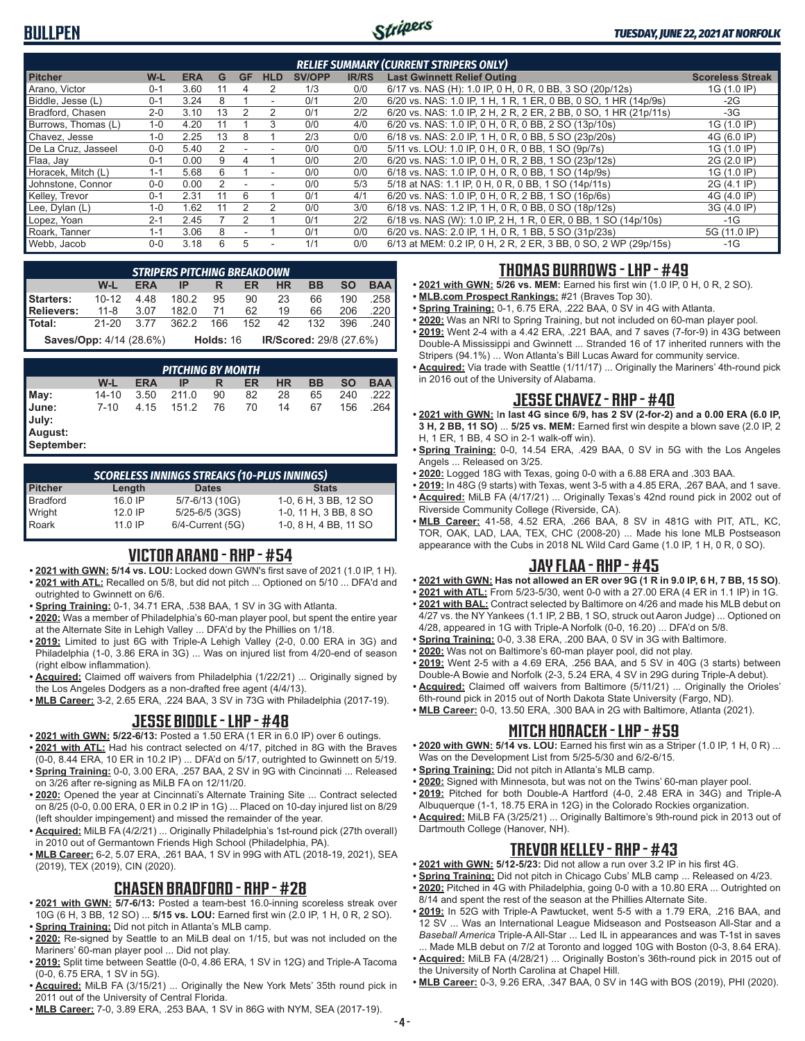# **BULLPEN**



| <b>RELIEF SUMMARY (CURRENT STRIPERS ONLY)</b> |         |            |    |           |                          |               |              |                                                                  |                         |  |  |
|-----------------------------------------------|---------|------------|----|-----------|--------------------------|---------------|--------------|------------------------------------------------------------------|-------------------------|--|--|
| <b>Pitcher</b>                                | $W-L$   | <b>ERA</b> | G  | <b>GF</b> | <b>HLD</b>               | <b>SV/OPP</b> | <b>IR/RS</b> | <b>Last Gwinnett Relief Outing</b>                               | <b>Scoreless Streak</b> |  |  |
| Arano. Victor                                 | $0 - 1$ | 3.60       | 11 | 4         | 2                        | 1/3           | 0/0          | 6/17 vs. NAS (H): 1.0 IP, 0 H, 0 R, 0 BB, 3 SO (20p/12s)         | 1G (1.0 IP)             |  |  |
| Biddle, Jesse (L)                             | $0 - 1$ | 3.24       |    |           |                          | 0/1           | 2/0          | 6/20 vs. NAS: 1.0 IP, 1 H, 1 R, 1 ER, 0 BB, 0 SO, 1 HR (14p/9s)  | $-2G$                   |  |  |
| Bradford, Chasen                              | $2 - 0$ | 3.10       | 13 |           | 2                        | 0/1           | 2/2          | 6/20 vs. NAS: 1.0 IP, 2 H, 2 R, 2 ER, 2 BB, 0 SO, 1 HR (21p/11s) | $-3G$                   |  |  |
| Burrows, Thomas (L)                           | $1 - 0$ | 4.20       |    |           | 3                        | 0/0           | 4/0          | 6/20 vs. NAS: 1.0 IP, 0 H, 0 R, 0 BB, 2 SO (13p/10s)             | 1G (1.0 IP)             |  |  |
| Chavez, Jesse                                 | $1 - 0$ | 2.25       | 13 | 8         |                          | 2/3           | 0/0          | 6/18 vs. NAS: 2.0 IP, 1 H, 0 R, 0 BB, 5 SO (23p/20s)             | 4G (6.0 IP)             |  |  |
| De La Cruz, Jasseel                           | $0 - 0$ | 5.40       |    |           | ۰                        | 0/0           | 0/0          | 5/11 vs. LOU: 1.0 IP, 0 H, 0 R, 0 BB, 1 SO (9p/7s)               | 1G (1.0 IP)             |  |  |
| Flaa, Jay                                     | $0 - 1$ | 0.00       |    |           |                          | 0/0           | 2/0          | 6/20 vs. NAS: 1.0 IP, 0 H, 0 R, 2 BB, 1 SO (23p/12s)             | 2G (2.0 IP)             |  |  |
| Horacek, Mitch (L)                            | $1 - 1$ | 5.68       | 6  |           | $\overline{\phantom{a}}$ | 0/0           | 0/0          | 6/18 vs. NAS: 1.0 IP, 0 H, 0 R, 0 BB, 1 SO (14p/9s)              | 1G (1.0 IP)             |  |  |
| Johnstone, Connor                             | $0-0$   | 0.00       |    |           |                          | 0/0           | 5/3          | 5/18 at NAS: 1.1 IP, 0 H, 0 R, 0 BB, 1 SO (14p/11s)              | 2G (4.1 IP)             |  |  |
| Kelley, Trevor                                | $0 - 1$ | 2.31       | 11 | ĥ         |                          | 0/1           | 4/1          | 6/20 vs. NAS: 1.0 IP, 0 H, 0 R, 2 BB, 1 SO (16p/6s)              | 4G (4.0 IP)             |  |  |
| Lee, Dylan (L)                                | $1 - 0$ | .62        | 11 |           | 2                        | 0/0           | 3/0          | 6/18 vs. NAS: 1.2 IP, 1 H, 0 R, 0 BB, 0 SO (18p/12s)             | 3G (4.0 IP)             |  |  |
| Lopez, Yoan                                   | $2 - 1$ | 2.45       |    |           |                          | 0/1           | 2/2          | 6/18 vs. NAS (W): 1.0 IP, 2 H, 1 R, 0 ER, 0 BB, 1 SO (14p/10s)   | $-1G$                   |  |  |
| Roark. Tanner                                 | $1 - 1$ | 3.06       | 8  |           |                          | 0/1           | 0/0          | 6/20 vs. NAS: 2.0 IP, 1 H, 0 R, 1 BB, 5 SO (31p/23s)             | 5G (11.0 IP)            |  |  |
| Webb, Jacob                                   | $0 - 0$ | 3.18       | 6  | 5         | ۰                        | 1/1           | 0/0          | 6/13 at MEM: 0.2 IP, 0 H, 2 R, 2 ER, 3 BB, 0 SO, 2 WP (29p/15s)  | $-1G$                   |  |  |

|                                      | <b>STRIPERS PITCHING BREAKDOWN</b>                                  |            |                              |      |  |       |                      |           |            |  |  |  |  |
|--------------------------------------|---------------------------------------------------------------------|------------|------------------------------|------|--|-------|----------------------|-----------|------------|--|--|--|--|
|                                      | W-L                                                                 | <b>ERA</b> | IP -                         | R ER |  | HR -  | <b>BB</b>            | <b>SO</b> | <b>BAA</b> |  |  |  |  |
| <b>Starters:</b> 10-12 4.48 180.2 95 |                                                                     |            |                              |      |  | 90 23 |                      | 66 190    | .258       |  |  |  |  |
| Relievers:                           | 11-8 3.07 182.0 71                                                  |            |                              |      |  |       | 62  19  66  206  220 |           |            |  |  |  |  |
| l Total:                             | 21-20 3.77                                                          |            | 362.2 166 152 42 132 396 240 |      |  |       |                      |           |            |  |  |  |  |
|                                      | Holds: 16 IR/Scored: 29/8 (27.6%)<br><b>Saves/Opp:</b> 4/14 (28.6%) |            |                              |      |  |       |                      |           |            |  |  |  |  |

*PITCHING BY MONTH* **W-L ERA IP R ER HR BB SO BAA May:** 14-10 3.50 211.0 90 82 28 65 240 .222 **June:** 7-10 4.15 151.2 76 70 14 67 156 .264 **July: August: September:**

| <b>SCORELESS INNINGS STREAKS (10-PLUS INNINGS)</b> |                |                       |                       |  |  |  |  |  |  |  |  |
|----------------------------------------------------|----------------|-----------------------|-----------------------|--|--|--|--|--|--|--|--|
| <b>Pitcher</b>                                     | Length         | <b>Dates</b>          | <b>Stats</b>          |  |  |  |  |  |  |  |  |
| <b>Bradford</b>                                    | 16.0 IP        | 5/7-6/13 (10G)        | 1-0, 6 H, 3 BB, 12 SO |  |  |  |  |  |  |  |  |
| Wright                                             | 120IP          | 5/25-6/5 (3GS)        | 1-0, 11 H, 3 BB, 8 SO |  |  |  |  |  |  |  |  |
| Roark                                              | 11 $\Omega$ IP | $6/4$ -Current $(5G)$ | 1-0, 8 H, 4 BB, 11 SO |  |  |  |  |  |  |  |  |

## **VICTOR ARANO - RHP - #54**

- **• 2021 with GWN: 5/14 vs. LOU:** Locked down GWN's first save of 2021 (1.0 IP, 1 H). **• 2021 with ATL:** Recalled on 5/8, but did not pitch ... Optioned on 5/10 ... DFA'd and outrighted to Gwinnett on 6/6.
- **• Spring Training:** 0-1, 34.71 ERA, .538 BAA, 1 SV in 3G with Atlanta.
- **• 2020:** Was a member of Philadelphia's 60-man player pool, but spent the entire year at the Alternate Site in Lehigh Valley ... DFA'd by the Phillies on 1/18.
- **• 2019:** Limited to just 6G with Triple-A Lehigh Valley (2-0, 0.00 ERA in 3G) and Philadelphia (1-0, 3.86 ERA in 3G) ... Was on injured list from 4/20-end of season (right elbow inflammation).
- **• Acquired:** Claimed off waivers from Philadelphia (1/22/21) ... Originally signed by the Los Angeles Dodgers as a non-drafted free agent (4/4/13).
- **• MLB Career:** 3-2, 2.65 ERA, .224 BAA, 3 SV in 73G with Philadelphia (2017-19).

## **JESSE BIDDLE - LHP - #48**

- **• 2021 with GWN: 5/22-6/13:** Posted a 1.50 ERA (1 ER in 6.0 IP) over 6 outings.
- **• 2021 with ATL:** Had his contract selected on 4/17, pitched in 8G with the Braves (0-0, 8.44 ERA, 10 ER in 10.2 IP) ... DFA'd on 5/17, outrighted to Gwinnett on 5/19.
- **• Spring Training:** 0-0, 3.00 ERA, .257 BAA, 2 SV in 9G with Cincinnati ... Released on 3/26 after re-signing as MiLB FA on 12/11/20.
- **• 2020:** Opened the year at Cincinnati's Alternate Training Site ... Contract selected on 8/25 (0-0, 0.00 ERA, 0 ER in 0.2 IP in 1G) ... Placed on 10-day injured list on 8/29 (left shoulder impingement) and missed the remainder of the year.
- **• Acquired:** MiLB FA (4/2/21) ... Originally Philadelphia's 1st-round pick (27th overall) in 2010 out of Germantown Friends High School (Philadelphia, PA).
- **• MLB Career:** 6-2, 5.07 ERA, .261 BAA, 1 SV in 99G with ATL (2018-19, 2021), SEA (2019), TEX (2019), CIN (2020).

#### **CHASEN BRADFORD - RHP - #28**

- **• 2021 with GWN: 5/7-6/13:** Posted a team-best 16.0-inning scoreless streak over 10G (6 H, 3 BB, 12 SO) ... **5/15 vs. LOU:** Earned first win (2.0 IP, 1 H, 0 R, 2 SO). **• Spring Training:** Did not pitch in Atlanta's MLB camp.
- **• 2020:** Re-signed by Seattle to an MiLB deal on 1/15, but was not included on the Mariners' 60-man player pool ... Did not play.
- **• 2019:** Split time between Seattle (0-0, 4.86 ERA, 1 SV in 12G) and Triple-A Tacoma (0-0, 6.75 ERA, 1 SV in 5G).
- **• Acquired:** MiLB FA (3/15/21) ... Originally the New York Mets' 35th round pick in 2011 out of the University of Central Florida.
- **• MLB Career:** 7-0, 3.89 ERA, .253 BAA, 1 SV in 86G with NYM, SEA (2017-19).

## **THOMAS BURROWS - LHP - #49**

- **• 2021 with GWN: 5/26 vs. MEM:** Earned his first win (1.0 IP, 0 H, 0 R, 2 SO).
- **• MLB.com Prospect Rankings:** #21 (Braves Top 30).
- **• Spring Training:** 0-1, 6.75 ERA, .222 BAA, 0 SV in 4G with Atlanta.
- **• 2020:** Was an NRI to Spring Training, but not included on 60-man player pool. **• 2019:** Went 2-4 with a 4.42 ERA, .221 BAA, and 7 saves (7-for-9) in 43G between Double-A Mississippi and Gwinnett ... Stranded 16 of 17 inherited runners with the
- Stripers (94.1%) ... Won Atlanta's Bill Lucas Award for community service. **• Acquired:** Via trade with Seattle (1/11/17) ... Originally the Mariners' 4th-round pick
- in 2016 out of the University of Alabama.

## **JESSE CHAVEZ - RHP - #40**

- **• 2021 with GWN:** I**n last 4G since 6/9, has 2 SV (2-for-2) and a 0.00 ERA (6.0 IP, 3 H, 2 BB, 11 SO)** ... **5/25 vs. MEM:** Earned first win despite a blown save (2.0 IP, 2 H, 1 ER, 1 BB, 4 SO in 2-1 walk-off win).
- **• Spring Training:** 0-0, 14.54 ERA, .429 BAA, 0 SV in 5G with the Los Angeles Angels ... Released on 3/25.
- **• 2020:** Logged 18G with Texas, going 0-0 with a 6.88 ERA and .303 BAA.
- **• 2019:** In 48G (9 starts) with Texas, went 3-5 with a 4.85 ERA, .267 BAA, and 1 save. **• Acquired:** MiLB FA (4/17/21) ... Originally Texas's 42nd round pick in 2002 out of Riverside Community College (Riverside, CA).
- **• MLB Career:** 41-58, 4.52 ERA, .266 BAA, 8 SV in 481G with PIT, ATL, KC, TOR, OAK, LAD, LAA, TEX, CHC (2008-20) ... Made his lone MLB Postseason appearance with the Cubs in 2018 NL Wild Card Game (1.0 IP, 1 H, 0 R, 0 SO).

# **JAY FLAA - RHP - #45**

- **• 2021 with GWN: Has not allowed an ER over 9G (1 R in 9.0 IP, 6 H, 7 BB, 15 SO)**.
- **• 2021 with ATL:** From 5/23-5/30, went 0-0 with a 27.00 ERA (4 ER in 1.1 IP) in 1G. **• 2021 with BAL:** Contract selected by Baltimore on 4/26 and made his MLB debut on
- 4/27 vs. the NY Yankees (1.1 IP, 2 BB, 1 SO, struck out Aaron Judge) ... Optioned on 4/28, appeared in 1G with Triple-A Norfolk (0-0, 16.20) ... DFA'd on 5/8.
- **• Spring Training:** 0-0, 3.38 ERA, .200 BAA, 0 SV in 3G with Baltimore.
- **• 2020:** Was not on Baltimore's 60-man player pool, did not play.
- **• 2019:** Went 2-5 with a 4.69 ERA, .256 BAA, and 5 SV in 40G (3 starts) between Double-A Bowie and Norfolk (2-3, 5.24 ERA, 4 SV in 29G during Triple-A debut).
- **• Acquired:** Claimed off waivers from Baltimore (5/11/21) ... Originally the Orioles' 6th-round pick in 2015 out of North Dakota State University (Fargo, ND).
- **• MLB Career:** 0-0, 13.50 ERA, .300 BAA in 2G with Baltimore, Atlanta (2021).

## **MITCH HORACEK - LHP - #59**

- **• 2020 with GWN: 5/14 vs. LOU:** Earned his first win as a Striper (1.0 IP, 1 H, 0 R) ... Was on the Development List from 5/25-5/30 and 6/2-6/15.
- **• Spring Training:** Did not pitch in Atlanta's MLB camp.
- **• 2020:** Signed with Minnesota, but was not on the Twins' 60-man player pool.
- **• 2019:** Pitched for both Double-A Hartford (4-0, 2.48 ERA in 34G) and Triple-A
- Albuquerque (1-1, 18.75 ERA in 12G) in the Colorado Rockies organization. **• Acquired:** MiLB FA (3/25/21) ... Originally Baltimore's 9th-round pick in 2013 out of Dartmouth College (Hanover, NH).

#### **TREVOR KELLEY - RHP - #43**

- **• 2021 with GWN: 5/12-5/23:** Did not allow a run over 3.2 IP in his first 4G.
- **• Spring Training:** Did not pitch in Chicago Cubs' MLB camp ... Released on 4/23.
- **• 2020:** Pitched in 4G with Philadelphia, going 0-0 with a 10.80 ERA ... Outrighted on 8/14 and spent the rest of the season at the Phillies Alternate Site.

**• 2019:** In 52G with Triple-A Pawtucket, went 5-5 with a 1.79 ERA, .216 BAA, and 12 SV ... Was an International League Midseason and Postseason All-Star and a *Baseball America* Triple-A All-Star ... Led IL in appearances and was T-1st in saves ... Made MLB debut on 7/2 at Toronto and logged 10G with Boston (0-3, 8.64 ERA).

- **• Acquired:** MiLB FA (4/28/21) ... Originally Boston's 36th-round pick in 2015 out of the University of North Carolina at Chapel Hill.
- **• MLB Career:** 0-3, 9.26 ERA, .347 BAA, 0 SV in 14G with BOS (2019), PHI (2020).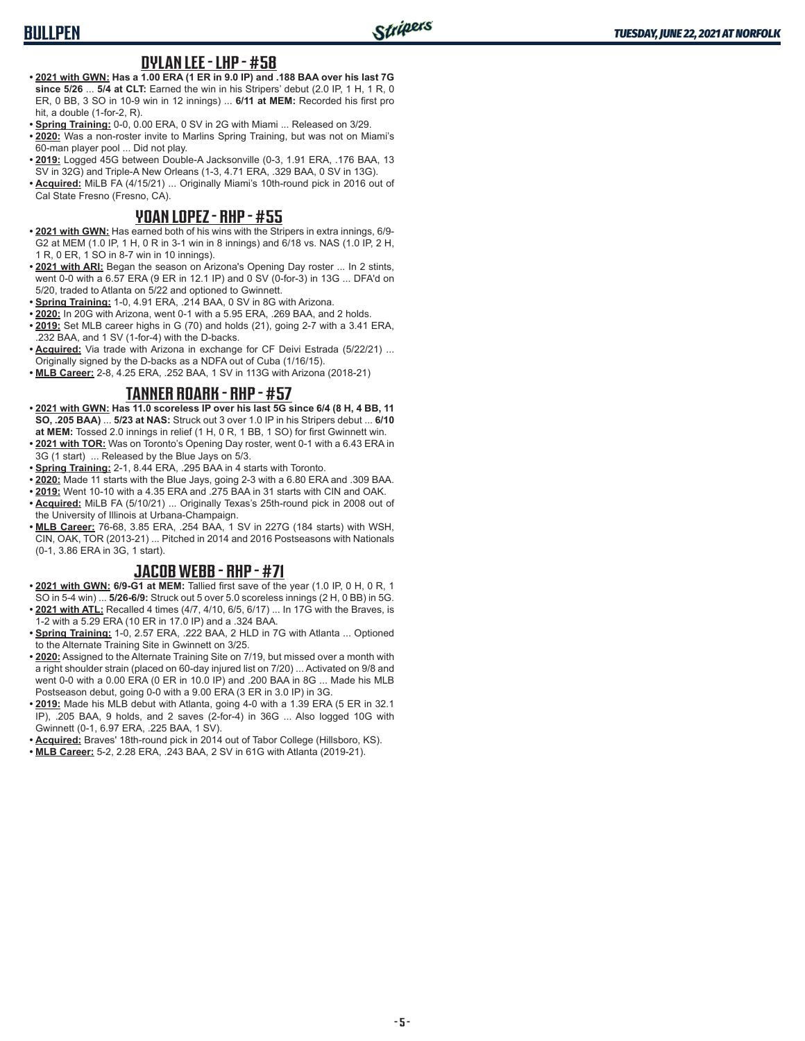# **BULLPEN**

#### **DYLAN LEE - LHP - #58**

- **• 2021 with GWN: Has a 1.00 ERA (1 ER in 9.0 IP) and .188 BAA over his last 7G since 5/26** ... **5/4 at CLT:** Earned the win in his Stripers' debut (2.0 IP, 1 H, 1 R, 0 ER, 0 BB, 3 SO in 10-9 win in 12 innings) ... **6/11 at MEM:** Recorded his first pro hit, a double (1-for-2, R).
- **• Spring Training:** 0-0, 0.00 ERA, 0 SV in 2G with Miami ... Released on 3/29.
- **• 2020:** Was a non-roster invite to Marlins Spring Training, but was not on Miami's 60-man player pool ... Did not play.
- **• 2019:** Logged 45G between Double-A Jacksonville (0-3, 1.91 ERA, .176 BAA, 13 SV in 32G) and Triple-A New Orleans (1-3, 4.71 ERA, .329 BAA, 0 SV in 13G).
- **• Acquired:** MiLB FA (4/15/21) ... Originally Miami's 10th-round pick in 2016 out of Cal State Fresno (Fresno, CA).

#### **YOAN LOPEZ - RHP - #55**

- **• 2021 with GWN:** Has earned both of his wins with the Stripers in extra innings, 6/9- G2 at MEM (1.0 IP, 1 H, 0 R in 3-1 win in 8 innings) and 6/18 vs. NAS (1.0 IP, 2 H, 1 R, 0 ER, 1 SO in 8-7 win in 10 innings).
- **• 2021 with ARI:** Began the season on Arizona's Opening Day roster ... In 2 stints, went 0-0 with a 6.57 ERA (9 ER in 12.1 IP) and 0 SV (0-for-3) in 13G ... DFA'd on 5/20, traded to Atlanta on 5/22 and optioned to Gwinnett.
- **• Spring Training:** 1-0, 4.91 ERA, .214 BAA, 0 SV in 8G with Arizona.
- **• 2020:** In 20G with Arizona, went 0-1 with a 5.95 ERA, .269 BAA, and 2 holds.
- **• 2019:** Set MLB career highs in G (70) and holds (21), going 2-7 with a 3.41 ERA, .232 BAA, and 1 SV (1-for-4) with the D-backs.
- **• Acquired:** Via trade with Arizona in exchange for CF Deivi Estrada (5/22/21) ... Originally signed by the D-backs as a NDFA out of Cuba (1/16/15).
- **• MLB Career:** 2-8, 4.25 ERA, .252 BAA, 1 SV in 113G with Arizona (2018-21)

#### **TANNER ROARK - RHP - #57**

- **• 2021 with GWN: Has 11.0 scoreless IP over his last 5G since 6/4 (8 H, 4 BB, 11 SO, .205 BAA)** ... **5/23 at NAS:** Struck out 3 over 1.0 IP in his Stripers debut ... **6/10 at MEM:** Tossed 2.0 innings in relief (1 H, 0 R, 1 BB, 1 SO) for first Gwinnett win.
- **• 2021 with TOR:** Was on Toronto's Opening Day roster, went 0-1 with a 6.43 ERA in 3G (1 start) ... Released by the Blue Jays on 5/3.
- **• Spring Training:** 2-1, 8.44 ERA, .295 BAA in 4 starts with Toronto.
- **• 2020:** Made 11 starts with the Blue Jays, going 2-3 with a 6.80 ERA and .309 BAA.
- **• 2019:** Went 10-10 with a 4.35 ERA and .275 BAA in 31 starts with CIN and OAK.
- **• Acquired:** MiLB FA (5/10/21) ... Originally Texas's 25th-round pick in 2008 out of the University of Illinois at Urbana-Champaign.
- **• MLB Career:** 76-68, 3.85 ERA, .254 BAA, 1 SV in 227G (184 starts) with WSH, CIN, OAK, TOR (2013-21) ... Pitched in 2014 and 2016 Postseasons with Nationals (0-1, 3.86 ERA in 3G, 1 start).

## **JACOB WEBB - RHP - #71**

- **• 2021 with GWN: 6/9-G1 at MEM:** Tallied first save of the year (1.0 IP, 0 H, 0 R, 1 SO in 5-4 win) ... **5/26-6/9:** Struck out 5 over 5.0 scoreless innings (2 H, 0 BB) in 5G.
- **• 2021 with ATL:** Recalled 4 times (4/7, 4/10, 6/5, 6/17) ... In 17G with the Braves, is 1-2 with a 5.29 ERA (10 ER in 17.0 IP) and a .324 BAA.
- **• Spring Training:** 1-0, 2.57 ERA, .222 BAA, 2 HLD in 7G with Atlanta ... Optioned to the Alternate Training Site in Gwinnett on 3/25.
- **• 2020:** Assigned to the Alternate Training Site on 7/19, but missed over a month with a right shoulder strain (placed on 60-day injured list on 7/20) ... Activated on 9/8 and went 0-0 with a 0.00 ERA (0 ER in 10.0 IP) and .200 BAA in 8G ... Made his MLB Postseason debut, going 0-0 with a 9.00 ERA (3 ER in 3.0 IP) in 3G.
- **• 2019:** Made his MLB debut with Atlanta, going 4-0 with a 1.39 ERA (5 ER in 32.1 IP), .205 BAA, 9 holds, and 2 saves (2-for-4) in 36G ... Also logged 10G with Gwinnett (0-1, 6.97 ERA, .225 BAA, 1 SV).
- **• Acquired:** Braves' 18th-round pick in 2014 out of Tabor College (Hillsboro, KS).
- **• MLB Career:** 5-2, 2.28 ERA, .243 BAA, 2 SV in 61G with Atlanta (2019-21).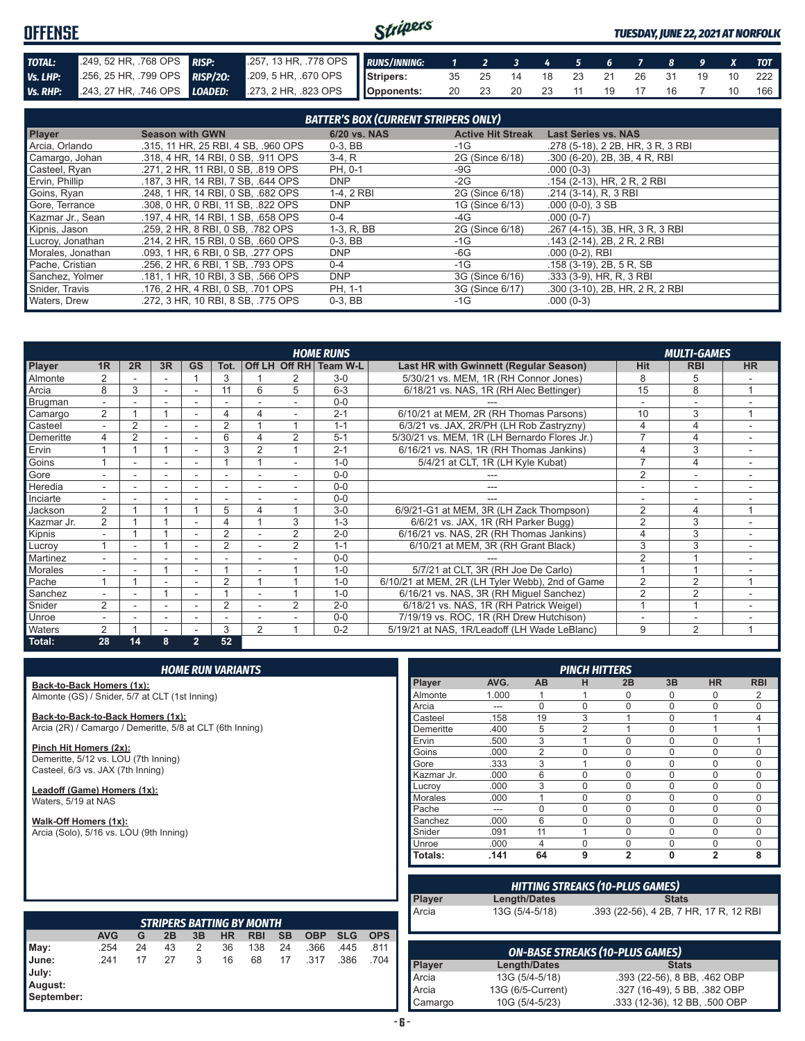#### Stripers **OFFENSE** *TUESDAY, JUNE 22, 2021 AT NORFOLK* **TOTAL:** ... .249, 52 HR, .768 OPS **RISP:** ... .257, 13 HR, .778 OPS *RUNS/INNING: 1 2 3 4 5 6 7 8 9 X TOT Vs. LHP:* .256, 25 HR, .799 OPS **RISP/20:** .209, 5 HR, .670 OPS **Stripers:** 35 25 14 18 23 21 26 31 19 10 222 *Vs. RHP:* .243, 27 HR, .746 OPS *LOADED:* .273, 2 HR, .823 OPS **Opponents:** 20 23 20 23 11 19 17 16 7 10 166

| <b>BATTER'S BOX (CURRENT STRIPERS ONLY)</b> |                                     |              |                          |                                   |  |  |  |  |  |  |
|---------------------------------------------|-------------------------------------|--------------|--------------------------|-----------------------------------|--|--|--|--|--|--|
| <b>Player</b>                               | <b>Season with GWN</b>              | 6/20 vs. NAS | <b>Active Hit Streak</b> | <b>Last Series vs. NAS</b>        |  |  |  |  |  |  |
| Arcia, Orlando                              | .315, 11 HR, 25 RBI, 4 SB, .960 OPS | $0-3$ , BB   | $-1G$                    | .278 (5-18), 2 2B, HR, 3 R, 3 RBI |  |  |  |  |  |  |
| Camargo, Johan                              | .318, 4 HR, 14 RBI, 0 SB, .911 OPS  | $3-4, R$     | 2G (Since 6/18)          | .300 (6-20), 2B, 3B, 4 R, RBI     |  |  |  |  |  |  |
| Casteel, Ryan                               | .271, 2 HR, 11 RBI, 0 SB, .819 OPS  | PH. 0-1      | -9G                      | $.000(0-3)$                       |  |  |  |  |  |  |
| Ervin, Phillip                              | .187, 3 HR, 14 RBI, 7 SB, .644 OPS  | <b>DNP</b>   | $-2G$                    | .154 (2-13), HR, 2 R, 2 RBI       |  |  |  |  |  |  |
| Goins, Ryan                                 | .248. 1 HR. 14 RBI. 0 SB. .682 OPS  | 1-4, 2 RBI   | 2G (Since 6/18)          | .214 (3-14), R, 3 RBI             |  |  |  |  |  |  |
| Gore, Terrance                              | .308, 0 HR, 0 RBI, 11 SB, .822 OPS  | <b>DNP</b>   | 1G (Since 6/13)          | $.000(0-0), 3SB$                  |  |  |  |  |  |  |
| Kazmar Jr., Sean                            | .197, 4 HR, 14 RBI, 1 SB, .658 OPS  | $0 - 4$      | -4G                      | $.000(0-7)$                       |  |  |  |  |  |  |
| Kipnis, Jason                               | .259, 2 HR, 8 RBI, 0 SB, .782 OPS   | 1-3, R, BB   | 2G (Since 6/18)          | .267 (4-15), 3B, HR, 3 R, 3 RBI   |  |  |  |  |  |  |
| Lucroy, Jonathan                            | .214, 2 HR, 15 RBI, 0 SB, .660 OPS  | $0-3$ , BB   | $-1G$                    | .143 (2-14), 2B, 2R, 2RBI         |  |  |  |  |  |  |
| Morales, Jonathan                           | .093, 1 HR, 6 RBI, 0 SB, .277 OPS   | <b>DNP</b>   | -6G                      | $.000(0-2)$ , RBI                 |  |  |  |  |  |  |
| Pache, Cristian                             | .256, 2 HR, 6 RBI, 1 SB, .793 OPS   | $0 - 4$      | $-1G$                    | .158 (3-19), 2B, 5 R, SB          |  |  |  |  |  |  |
| Sanchez, Yolmer                             | .181, 1 HR, 10 RBI, 3 SB, .566 OPS  | <b>DNP</b>   | 3G (Since 6/16)          | .333 (3-9), HR, R, 3 RBI          |  |  |  |  |  |  |
| Snider, Travis                              | .176. 2 HR. 4 RBI. 0 SB. .701 OPS   | PH. 1-1      | 3G (Since 6/17)          | .300 (3-10), 2B, HR, 2 R, 2 RBI   |  |  |  |  |  |  |
| Waters, Drew                                | .272. 3 HR. 10 RBI. 8 SB. .775 OPS  | $0-3.$ BB    | $-1G$                    | $.000(0-3)$                       |  |  |  |  |  |  |

| <b>HOME RUNS</b><br><b>MULTI-GAMES</b> |                          |                |                          |                |                          |   |                |                        |                                                 |                |                |           |
|----------------------------------------|--------------------------|----------------|--------------------------|----------------|--------------------------|---|----------------|------------------------|-------------------------------------------------|----------------|----------------|-----------|
| <b>Player</b>                          | 1 <sub>R</sub>           | 2R             | 3R                       | <b>GS</b>      | Tot.                     |   |                | Off LH Off RH Team W-L | Last HR with Gwinnett (Regular Season)          | Hit            | <b>RBI</b>     | <b>HR</b> |
| Almonte                                |                          |                |                          |                | 3                        |   |                | $3-0$                  | 5/30/21 vs. MEM, 1R (RH Connor Jones)           | 8              | 5              |           |
| Arcia                                  | 8                        | 3              | ٠                        |                | 11                       | 6 | 5              | $6 - 3$                | 6/18/21 vs. NAS, 1R (RH Alec Bettinger)         | 15             | 8              |           |
| Brugman                                | $\overline{\phantom{0}}$ |                |                          |                |                          |   |                | $0 - 0$                |                                                 |                | ٠              |           |
| Camargo                                | 2                        |                |                          |                | 4                        | 4 |                | $2 - 1$                | 6/10/21 at MEM, 2R (RH Thomas Parsons)          | 10             | 3              |           |
| Casteel                                |                          | $\overline{2}$ |                          |                | $\overline{2}$           |   |                | $1 - 1$                | 6/3/21 vs. JAX, 2R/PH (LH Rob Zastryzny)        | 4              | $\overline{4}$ |           |
| Demeritte                              | 4                        | $\overline{2}$ |                          |                | 6                        |   | 2              | $5 - 1$                | 5/30/21 vs. MEM, 1R (LH Bernardo Flores Jr.)    | $\overline{7}$ | 4              |           |
| Ervin                                  |                          |                | 1                        |                | 3                        | 2 |                | $2 - 1$                | 6/16/21 vs. NAS, 1R (RH Thomas Jankins)         | 4              | 3              |           |
| Goins                                  |                          |                |                          |                |                          |   |                | $1 - 0$                | 5/4/21 at CLT, 1R (LH Kyle Kubat)               | $\overline{7}$ | $\overline{4}$ |           |
| Gore                                   |                          |                |                          |                |                          |   |                | $0 - 0$                |                                                 | 2              | ÷              |           |
| Heredia                                | $\overline{\phantom{0}}$ |                | ۰                        |                |                          |   |                | $0 - 0$                |                                                 |                | ٠              |           |
| Inciarte                               |                          |                |                          |                |                          |   |                | $0 - 0$                |                                                 |                | -              |           |
| Jackson                                | $\overline{2}$           |                |                          |                | 5                        | 4 |                | $3-0$                  | 6/9/21-G1 at MEM, 3R (LH Zack Thompson)         | $\overline{2}$ | 4              |           |
| Kazmar Jr.                             | $\overline{2}$           |                |                          |                | 4                        |   | 3              | $1 - 3$                | 6/6/21 vs. JAX, 1R (RH Parker Bugg)             | $\overline{2}$ | 3              |           |
| Kipnis                                 | $\overline{\phantom{a}}$ |                |                          |                | 2                        |   | $\overline{2}$ | $2 - 0$                | 6/16/21 vs. NAS, 2R (RH Thomas Jankins)         | 4              | 3              | ۰.        |
| Lucroy                                 |                          |                |                          |                | $\overline{2}$           |   | 2              | $1 - 1$                | 6/10/21 at MEM, 3R (RH Grant Black)             | 3              | 3              |           |
| Martinez                               | $\overline{\phantom{a}}$ |                |                          |                |                          |   |                | $0 - 0$                |                                                 | $\overline{2}$ |                |           |
| Morales                                |                          |                |                          |                |                          |   |                | $1 - 0$                | 5/7/21 at CLT, 3R (RH Joe De Carlo)             |                |                |           |
| Pache                                  |                          |                |                          |                | $\overline{2}$           |   |                | $1 - 0$                | 6/10/21 at MEM, 2R (LH Tyler Webb), 2nd of Game | 2              | $\overline{2}$ |           |
| Sanchez                                |                          |                |                          |                |                          |   |                | $1 - 0$                | 6/16/21 vs. NAS, 3R (RH Miguel Sanchez)         | $\overline{2}$ | $\overline{2}$ |           |
| Snider                                 | 2                        |                | $\overline{a}$           |                | $\overline{2}$           |   | $\mathcal{P}$  | $2 - 0$                | 6/18/21 vs. NAS, 1R (RH Patrick Weigel)         |                |                |           |
| Unroe                                  | $\overline{\phantom{a}}$ |                | $\overline{\phantom{a}}$ |                | $\overline{\phantom{a}}$ |   |                | $0 - 0$                | 7/19/19 vs. ROC, 1R (RH Drew Hutchison)         |                | ÷              |           |
| <b>Waters</b>                          | $\overline{2}$           |                |                          |                | 3                        | 2 |                | $0 - 2$                | 5/19/21 at NAS, 1R/Leadoff (LH Wade LeBlanc)    | 9              | $\overline{2}$ |           |
| Total:                                 | 28                       | 14             | 8                        | $\overline{2}$ | 52                       |   |                |                        |                                                 |                |                |           |

|                                                                           | <b>HOME RUN VARIANTS</b>                       |    |    |    |           |            |           |            |            |                |            |          | <b>PINCH HITTERS</b>                   |          |                         |                    |
|---------------------------------------------------------------------------|------------------------------------------------|----|----|----|-----------|------------|-----------|------------|------------|----------------|------------|----------|----------------------------------------|----------|-------------------------|--------------------|
| Back-to-Back Homers (1x):                                                 |                                                |    |    |    |           |            |           |            |            |                | Player     | AVG.     | AB                                     | н        | 2B                      | 3B                 |
|                                                                           | Almonte (GS) / Snider, 5/7 at CLT (1st Inning) |    |    |    |           |            |           | Almonte    | 1.000      |                |            | 0        | 0                                      |          |                         |                    |
|                                                                           |                                                |    |    |    |           |            | Arcia     | ---        | $\Omega$   | 0              | $\Omega$   | $\Omega$ |                                        |          |                         |                    |
| Back-to-Back-to-Back Homers (1x):                                         |                                                |    |    |    |           |            | Casteel   | .158       | 19         | 3              |            | $\Omega$ |                                        |          |                         |                    |
| Arcia (2R) / Camargo / Demeritte, 5/8 at CLT (6th Inning)                 |                                                |    |    |    |           |            | Demeritte | .400       | 5          | $\overline{2}$ |            | $\Omega$ |                                        |          |                         |                    |
|                                                                           |                                                |    |    |    |           |            |           |            |            |                | Ervin      | .500     | 3                                      |          | $\Omega$                | $\Omega$           |
| Pinch Hit Homers (2x):                                                    |                                                |    |    |    |           |            |           |            |            |                | Goins      | .000     | $\overline{2}$                         | 0        | $\Omega$                | $\mathbf 0$        |
| Demeritte, 5/12 vs. LOU (7th Inning)<br>Casteel, 6/3 vs. JAX (7th Inning) |                                                |    |    |    |           |            |           |            |            |                | Gore       | .333     | 3                                      |          | $\Omega$                | $\Omega$           |
|                                                                           |                                                |    |    |    |           |            |           |            |            |                | Kazmar Jr. | .000     | 6                                      | 0        | $\Omega$                | $\Omega$           |
| Leadoff (Game) Homers (1x):                                               |                                                |    |    |    |           |            |           |            |            |                | Lucrov     | .000     | 3                                      | $\Omega$ | $\Omega$                | $\Omega$           |
| Waters, 5/19 at NAS                                                       |                                                |    |    |    |           |            |           |            |            |                | Morales    | .000     | 1                                      | 0        | $\Omega$                | $\Omega$           |
|                                                                           |                                                |    |    |    |           |            |           |            |            |                | Pache      | ---      | $\mathbf 0$                            | 0        | $\Omega$                | 0                  |
| Walk-Off Homers (1x):                                                     |                                                |    |    |    |           |            |           |            |            |                | Sanchez    | .000     | 6                                      | $\Omega$ | $\Omega$                | $\Omega$           |
| Arcia (Solo), 5/16 vs. LOU (9th Inning)                                   |                                                |    |    |    |           |            |           |            |            |                | Snider     | .091     | 11                                     |          | $\Omega$                | $\Omega$           |
|                                                                           |                                                |    |    |    |           |            |           |            |            |                | Unroe      | .000     | 4                                      | $\Omega$ | $\Omega$                | $\mathbf 0$        |
|                                                                           |                                                |    |    |    |           |            |           |            |            |                | Totals:    | .141     | 64                                     | 9        | $\overline{2}$          | $\mathbf{0}$       |
|                                                                           |                                                |    |    |    |           |            |           |            |            |                |            |          | <b>HITTING STREAKS (10-PLUS GAMES)</b> |          |                         |                    |
|                                                                           |                                                |    |    |    |           |            |           |            |            |                | Player     |          | Length/Dates                           |          |                         | <b>Stats</b>       |
|                                                                           |                                                |    |    |    |           |            |           |            |            |                | Arcia      |          | 13G (5/4-5/18)                         |          | .393 (22-56), 4 2B, 7 H |                    |
| <b>STRIPERS BATTING BY MONTH</b>                                          |                                                |    |    |    |           |            |           |            |            |                |            |          |                                        |          |                         |                    |
|                                                                           | <b>AVG</b>                                     | G  | 2B | 3B | <b>HR</b> | <b>RBI</b> | <b>SB</b> | <b>OBP</b> | <b>SLG</b> | <b>OPS</b>     |            |          |                                        |          |                         |                    |
| May:                                                                      | .254                                           | 24 | 43 | 2  | 36        | 138        | 24        | .366       | .445       | .811           |            |          | <b>ON-BASE STREAKS (10-PLUS GAMES)</b> |          |                         |                    |
| June:                                                                     | .241                                           | 17 | 27 | 3  | 16        | 68         | 17        | .317       | .386       | .704           | Player     |          | Length/Dates                           |          |                         | <b>Stats</b>       |
| July:                                                                     |                                                |    |    |    |           |            |           |            |            |                |            |          |                                        |          |                         |                    |
| August:                                                                   |                                                |    |    |    |           |            |           |            |            |                | Arcia      |          | 13G (5/4-5/18)                         |          |                         | $.393(22-56), 8B$  |
| September:                                                                |                                                |    |    |    |           |            |           |            |            |                | Arcia      |          | 13G (6/5-Current)                      |          |                         | .327 (16-49), 5B   |
|                                                                           |                                                |    |    |    |           |            |           |            |            |                | Camargo    |          | 10G (5/4-5/23)                         |          |                         | .333 (12-36), 12 E |

| <b>PINCH HITTERS</b> |       |                |                |                |             |                |                |
|----------------------|-------|----------------|----------------|----------------|-------------|----------------|----------------|
| Player               | AVG.  | AB             | н              | 2B             | 3B          | <b>HR</b>      | <b>RBI</b>     |
| Almonte              | 1.000 | 1              |                | 0              | $\Omega$    | 0              | 2              |
| Arcia                |       | $\Omega$       | $\mathbf 0$    | $\Omega$       | $\mathbf 0$ | 0              | $\Omega$       |
| Casteel              | .158  | 19             | 3              | 1              | $\Omega$    |                | $\overline{4}$ |
| Demeritte            | .400  | 5              | $\overline{2}$ | 1              | $\Omega$    |                | 1              |
| Ervin                | .500  | 3              | 4              | 0              | 0           | 0              | 1              |
| Goins                | .000  | $\overline{2}$ | 0              | 0              | $\mathbf 0$ | 0              | 0              |
| Gore                 | .333  | 3              |                | 0              | $\mathbf 0$ | 0              | 0              |
| Kazmar Jr.           | .000  | 6              | $\Omega$       | 0              | $\mathbf 0$ | 0              | $\Omega$       |
| Lucroy               | .000  | 3              | $\Omega$       | $\Omega$       | $\Omega$    | 0              | $\Omega$       |
| <b>Morales</b>       | .000  | 1              | $\Omega$       | $\Omega$       | $\Omega$    | 0              | $\Omega$       |
| Pache                |       | $\Omega$       | $\Omega$       | $\Omega$       | $\mathbf 0$ | $\Omega$       | $\Omega$       |
| Sanchez              | .000  | 6              | $\Omega$       | $\Omega$       | $\mathbf 0$ | 0              | 0              |
| Snider               | .091  | 11             | 4              | $\Omega$       | $\mathbf 0$ | $\Omega$       | 0              |
| Unroe                | .000  | 4              | $\Omega$       | $\Omega$       | $\Omega$    | 0              | $\Omega$       |
| Totals:              | .141  | 64             | 9              | $\overline{2}$ | $\bf{0}$    | $\overline{2}$ | 8              |

| Arcia         | 13G (5/4-5/18)    | .393 (22-56), 4 2B, 7 HR, 17 R, 12 RBI |
|---------------|-------------------|----------------------------------------|
|               |                   | <b>ON-BASE STREAKS (10-PLUS GAMES)</b> |
| <b>Player</b> | Length/Dates      | <b>Stats</b>                           |
| Arcia         | 13G (5/4-5/18)    | .393 (22-56), 8 BB, .462 OBP           |
| Arcia         | 13G (6/5-Current) | .327 (16-49), 5 BB, .382 OBP           |
| Camargo       | 10G (5/4-5/23)    | .333 (12-36), 12 BB, .500 OBP          |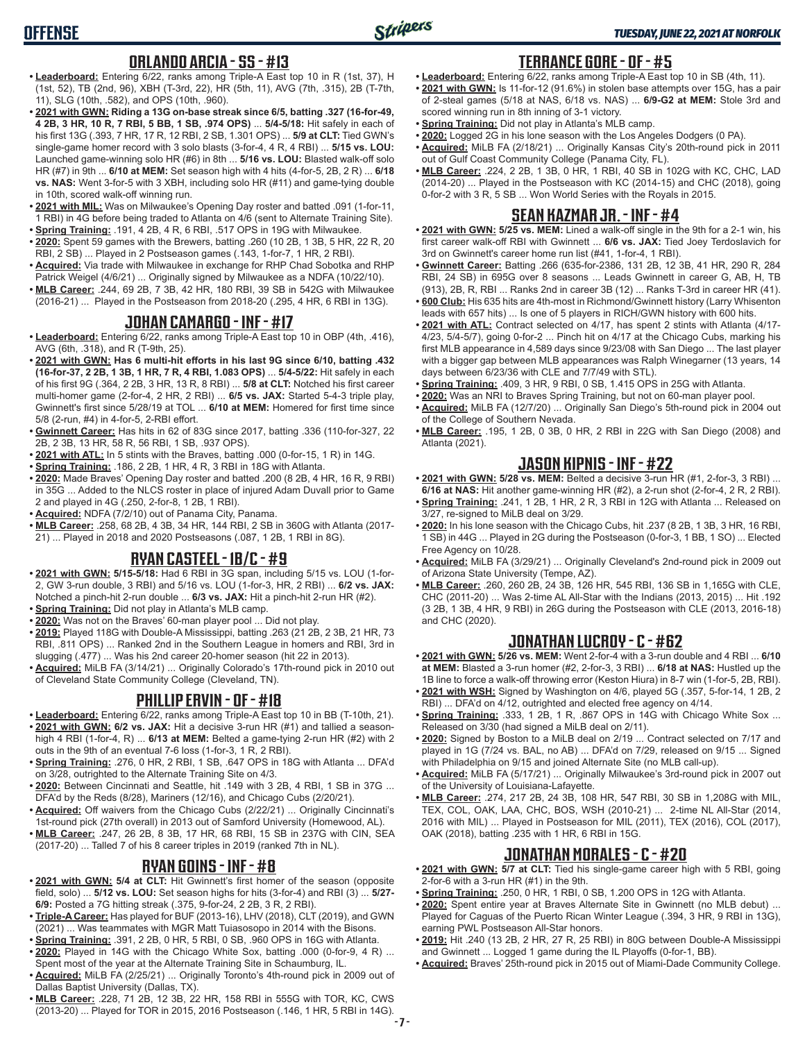## **ORLANDO ARCIA - SS - #13**

- **• Leaderboard:** Entering 6/22, ranks among Triple-A East top 10 in R (1st, 37), H (1st, 52), TB (2nd, 96), XBH (T-3rd, 22), HR (5th, 11), AVG (7th, .315), 2B (T-7th, 11), SLG (10th, .582), and OPS (10th, .960).
- **• 2021 with GWN: Riding a 13G on-base streak since 6/5, batting .327 (16-for-49, 4 2B, 3 HR, 10 R, 7 RBI, 5 BB, 1 SB, .974 OPS)** ... **5/4-5/18:** Hit safely in each of his first 13G (.393, 7 HR, 17 R, 12 RBI, 2 SB, 1.301 OPS) ... **5/9 at CLT:** Tied GWN's single-game homer record with 3 solo blasts (3-for-4, 4 R, 4 RBI) ... **5/15 vs. LOU:** Launched game-winning solo HR (#6) in 8th ... **5/16 vs. LOU:** Blasted walk-off solo HR (#7) in 9th ... **6/10 at MEM:** Set season high with 4 hits (4-for-5, 2B, 2 R) ... **6/18 vs. NAS:** Went 3-for-5 with 3 XBH, including solo HR (#11) and game-tying double in 10th, scored walk-off winning run.
- **• 2021 with MIL:** Was on Milwaukee's Opening Day roster and batted .091 (1-for-11, 1 RBI) in 4G before being traded to Atlanta on 4/6 (sent to Alternate Training Site). **• Spring Training:** .191, 4 2B, 4 R, 6 RBI, .517 OPS in 19G with Milwaukee.
- **• 2020:** Spent 59 games with the Brewers, batting .260 (10 2B, 1 3B, 5 HR, 22 R, 20 RBI, 2 SB) ... Played in 2 Postseason games (.143, 1-for-7, 1 HR, 2 RBI).
- **• Acquired:** Via trade with Milwaukee in exchange for RHP Chad Sobotka and RHP Patrick Weigel (4/6/21) ... Originally signed by Milwaukee as a NDFA (10/22/10).
- **• MLB Career:** .244, 69 2B, 7 3B, 42 HR, 180 RBI, 39 SB in 542G with Milwaukee (2016-21) ... Played in the Postseason from 2018-20 (.295, 4 HR, 6 RBI in 13G).

#### **JOHAN CAMARGO - INF - #17**

- **• Leaderboard:** Entering 6/22, ranks among Triple-A East top 10 in OBP (4th, .416), AVG (6th, .318), and R (T-9th, 25).
- **• 2021 with GWN: Has 6 multi-hit efforts in his last 9G since 6/10, batting .432 (16-for-37, 2 2B, 1 3B, 1 HR, 7 R, 4 RBI, 1.083 OPS)** ... **5/4-5/22:** Hit safely in each of his first 9G (.364, 2 2B, 3 HR, 13 R, 8 RBI) ... **5/8 at CLT:** Notched his first career multi-homer game (2-for-4, 2 HR, 2 RBI) ... **6/5 vs. JAX:** Started 5-4-3 triple play, Gwinnett's first since 5/28/19 at TOL ... **6/10 at MEM:** Homered for first time since 5/8 (2-run, #4) in 4-for-5, 2-RBI effort.
- **• Gwinnett Career:** Has hits in 62 of 83G since 2017, batting .336 (110-for-327, 22 2B, 2 3B, 13 HR, 58 R, 56 RBI, 1 SB, .937 OPS).
- **• 2021 with ATL:** In 5 stints with the Braves, batting .000 (0-for-15, 1 R) in 14G.
- **• Spring Training:** .186, 2 2B, 1 HR, 4 R, 3 RBI in 18G with Atlanta.
- **• 2020:** Made Braves' Opening Day roster and batted .200 (8 2B, 4 HR, 16 R, 9 RBI) in 35G ... Added to the NLCS roster in place of injured Adam Duvall prior to Game 2 and played in 4G (.250, 2-for-8, 1 2B, 1 RBI).
- **• Acquired:** NDFA (7/2/10) out of Panama City, Panama.
- **• MLB Career:** .258, 68 2B, 4 3B, 34 HR, 144 RBI, 2 SB in 360G with Atlanta (2017- 21) ... Played in 2018 and 2020 Postseasons (.087, 1 2B, 1 RBI in 8G).

## **RYAN CASTEEL - 1B/C - #9**

- **• 2021 with GWN: 5/15-5/18:** Had 6 RBI in 3G span, including 5/15 vs. LOU (1-for-2, GW 3-run double, 3 RBI) and 5/16 vs. LOU (1-for-3, HR, 2 RBI) ... **6/2 vs. JAX:** Notched a pinch-hit 2-run double ... **6/3 vs. JAX:** Hit a pinch-hit 2-run HR (#2).
- **• Spring Training:** Did not play in Atlanta's MLB camp.
- **• 2020:** Was not on the Braves' 60-man player pool ... Did not play.
- **• 2019:** Played 118G with Double-A Mississippi, batting .263 (21 2B, 2 3B, 21 HR, 73 RBI, .811 OPS) ... Ranked 2nd in the Southern League in homers and RBI, 3rd in slugging (.477) ... Was his 2nd career 20-homer season (hit 22 in 2013).
- **• Acquired:** MiLB FA (3/14/21) ... Originally Colorado's 17th-round pick in 2010 out of Cleveland State Community College (Cleveland, TN).

## **PHILLIP ERVIN - OF - #18**

- **• Leaderboard:** Entering 6/22, ranks among Triple-A East top 10 in BB (T-10th, 21).
- **• 2021 with GWN: 6/2 vs. JAX:** Hit a decisive 3-run HR (#1) and tallied a seasonhigh 4 RBI (1-for-4, R) ... **6/13 at MEM:** Belted a game-tying 2-run HR (#2) with 2 outs in the 9th of an eventual 7-6 loss (1-for-3, 1 R, 2 RBI).
- **• Spring Training:** .276, 0 HR, 2 RBI, 1 SB, .647 OPS in 18G with Atlanta ... DFA'd on 3/28, outrighted to the Alternate Training Site on 4/3.
- **• 2020:** Between Cincinnati and Seattle, hit .149 with 3 2B, 4 RBI, 1 SB in 37G ... DFA'd by the Reds (8/28), Mariners (12/16), and Chicago Cubs (2/20/21).
- **• Acquired:** Off waivers from the Chicago Cubs (2/22/21) ... Originally Cincinnati's 1st-round pick (27th overall) in 2013 out of Samford University (Homewood, AL).
- **• MLB Career:** .247, 26 2B, 8 3B, 17 HR, 68 RBI, 15 SB in 237G with CIN, SEA (2017-20) ... Talled 7 of his 8 career triples in 2019 (ranked 7th in NL).

#### **RYAN GOINS - INF - #8**

- **• 2021 with GWN: 5/4 at CLT:** Hit Gwinnett's first homer of the season (opposite field, solo) ... **5/12 vs. LOU:** Set season highs for hits (3-for-4) and RBI (3) ... **5/27- 6/9:** Posted a 7G hitting streak (.375, 9-for-24, 2 2B, 3 R, 2 RBI).
- **• Triple-A Career:** Has played for BUF (2013-16), LHV (2018), CLT (2019), and GWN (2021) ... Was teammates with MGR Matt Tuiasosopo in 2014 with the Bisons.
- **• Spring Training:** .391, 2 2B, 0 HR, 5 RBI, 0 SB, .960 OPS in 16G with Atlanta.
- **• 2020:** Played in 14G with the Chicago White Sox, batting .000 (0-for-9, 4 R) ... Spent most of the year at the Alternate Training Site in Schaumburg, IL.
- **• Acquired:** MiLB FA (2/25/21) ... Originally Toronto's 4th-round pick in 2009 out of Dallas Baptist University (Dallas, TX).
- **• MLB Career:** .228, 71 2B, 12 3B, 22 HR, 158 RBI in 555G with TOR, KC, CWS (2013-20) ... Played for TOR in 2015, 2016 Postseason (.146, 1 HR, 5 RBI in 14G).

#### **TERRANCE GORE - OF - #5**

- **• Leaderboard:** Entering 6/22, ranks among Triple-A East top 10 in SB (4th, 11).
- **• 2021 with GWN:** Is 11-for-12 (91.6%) in stolen base attempts over 15G, has a pair of 2-steal games (5/18 at NAS, 6/18 vs. NAS) ... **6/9-G2 at MEM:** Stole 3rd and scored winning run in 8th inning of 3-1 victory.
- **• Spring Training:** Did not play in Atlanta's MLB camp.
- **• 2020:** Logged 2G in his lone season with the Los Angeles Dodgers (0 PA).
- **• Acquired:** MiLB FA (2/18/21) ... Originally Kansas City's 20th-round pick in 2011 out of Gulf Coast Community College (Panama City, FL).
- **• MLB Career:** .224, 2 2B, 1 3B, 0 HR, 1 RBI, 40 SB in 102G with KC, CHC, LAD (2014-20) ... Played in the Postseason with KC (2014-15) and CHC (2018), going 0-for-2 with 3 R, 5 SB ... Won World Series with the Royals in 2015.

## **SEAN KAZMAR JR. - INF - #4**

- **• 2021 with GWN: 5/25 vs. MEM:** Lined a walk-off single in the 9th for a 2-1 win, his first career walk-off RBI with Gwinnett ... **6/6 vs. JAX:** Tied Joey Terdoslavich for 3rd on Gwinnett's career home run list (#41, 1-for-4, 1 RBI).
- **• Gwinnett Career:** Batting .266 (635-for-2386, 131 2B, 12 3B, 41 HR, 290 R, 284 RBI, 24 SB) in 695G over 8 seasons ... Leads Gwinnett in career G, AB, H, TB (913), 2B, R, RBI ... Ranks 2nd in career 3B (12) ... Ranks T-3rd in career HR (41).
- **• 600 Club:** His 635 hits are 4th-most in Richmond/Gwinnett history (Larry Whisenton leads with 657 hits) ... Is one of 5 players in RICH/GWN history with 600 hits.
- **• 2021 with ATL:** Contract selected on 4/17, has spent 2 stints with Atlanta (4/17- 4/23, 5/4-5/7), going 0-for-2 ... Pinch hit on 4/17 at the Chicago Cubs, marking his first MLB appearance in 4,589 days since 9/23/08 with San Diego ... The last player with a bigger gap between MLB appearances was Ralph Winegarner (13 years, 14 days between 6/23/36 with CLE and 7/7/49 with STL).
- **• Spring Training:** .409, 3 HR, 9 RBI, 0 SB, 1.415 OPS in 25G with Atlanta.
- **• 2020:** Was an NRI to Braves Spring Training, but not on 60-man player pool.
- **• Acquired:** MiLB FA (12/7/20) ... Originally San Diego's 5th-round pick in 2004 out of the College of Southern Nevada.
- **• MLB Career:** .195, 1 2B, 0 3B, 0 HR, 2 RBI in 22G with San Diego (2008) and Atlanta (2021).

### **JASON KIPNIS - INF - #22**

- **• 2021 with GWN: 5/28 vs. MEM:** Belted a decisive 3-run HR (#1, 2-for-3, 3 RBI) ... **6/16 at NAS:** Hit another game-winning HR (#2), a 2-run shot (2-for-4, 2 R, 2 RBI).
- **• Spring Training:** .241, 1 2B, 1 HR, 2 R, 3 RBI in 12G with Atlanta ... Released on 3/27, re-signed to MiLB deal on 3/29.
- **• 2020:** In his lone season with the Chicago Cubs, hit .237 (8 2B, 1 3B, 3 HR, 16 RBI, 1 SB) in 44G ... Played in 2G during the Postseason (0-for-3, 1 BB, 1 SO) ... Elected Free Agency on 10/28.
- **• Acquired:** MiLB FA (3/29/21) ... Originally Cleveland's 2nd-round pick in 2009 out of Arizona State University (Tempe, AZ).
- **• MLB Career:** .260, 260 2B, 24 3B, 126 HR, 545 RBI, 136 SB in 1,165G with CLE, CHC (2011-20) ... Was 2-time AL All-Star with the Indians (2013, 2015) ... Hit .192 (3 2B, 1 3B, 4 HR, 9 RBI) in 26G during the Postseason with CLE (2013, 2016-18) and CHC (2020).

## **JONATHAN LUCROY - C - #62**

- **• 2021 with GWN: 5/26 vs. MEM:** Went 2-for-4 with a 3-run double and 4 RBI ... **6/10 at MEM:** Blasted a 3-run homer (#2, 2-for-3, 3 RBI) ... **6/18 at NAS:** Hustled up the 1B line to force a walk-off throwing error (Keston Hiura) in 8-7 win (1-for-5, 2B, RBI).
- **• 2021 with WSH:** Signed by Washington on 4/6, played 5G (.357, 5-for-14, 1 2B, 2 RBI) ... DFA'd on 4/12, outrighted and elected free agency on 4/14.
- **• Spring Training:** .333, 1 2B, 1 R, .867 OPS in 14G with Chicago White Sox ... Released on 3/30 (had signed a MiLB deal on 2/11).
- **• 2020:** Signed by Boston to a MiLB deal on 2/19 ... Contract selected on 7/17 and played in 1G (7/24 vs. BAL, no AB) ... DFA'd on 7/29, released on 9/15 ... Signed with Philadelphia on 9/15 and joined Alternate Site (no MLB call-up).
- **• Acquired:** MiLB FA (5/17/21) ... Originally Milwaukee's 3rd-round pick in 2007 out of the University of Louisiana-Lafayette.
- **• MLB Career:** .274, 217 2B, 24 3B, 108 HR, 547 RBI, 30 SB in 1,208G with MIL, TEX, COL, OAK, LAA, CHC, BOS, WSH (2010-21) ... 2-time NL All-Star (2014, 2016 with MIL) ... Played in Postseason for MIL (2011), TEX (2016), COL (2017), OAK (2018), batting .235 with 1 HR, 6 RBI in 15G.

#### **JONATHAN MORALES - C - #20**

- **• 2021 with GWN: 5/7 at CLT:** Tied his single-game career high with 5 RBI, going 2-for-6 with a 3-run HR (#1) in the 9th.
- **• Spring Training:** .250, 0 HR, 1 RBI, 0 SB, 1.200 OPS in 12G with Atlanta.
- **• 2020:** Spent entire year at Braves Alternate Site in Gwinnett (no MLB debut) ... Played for Caguas of the Puerto Rican Winter League (.394, 3 HR, 9 RBI in 13G), earning PWL Postseason All-Star honors.
- **• 2019:** Hit .240 (13 2B, 2 HR, 27 R, 25 RBI) in 80G between Double-A Mississippi and Gwinnett ... Logged 1 game during the IL Playoffs (0-for-1, BB).
- **• Acquired:** Braves' 25th-round pick in 2015 out of Miami-Dade Community College.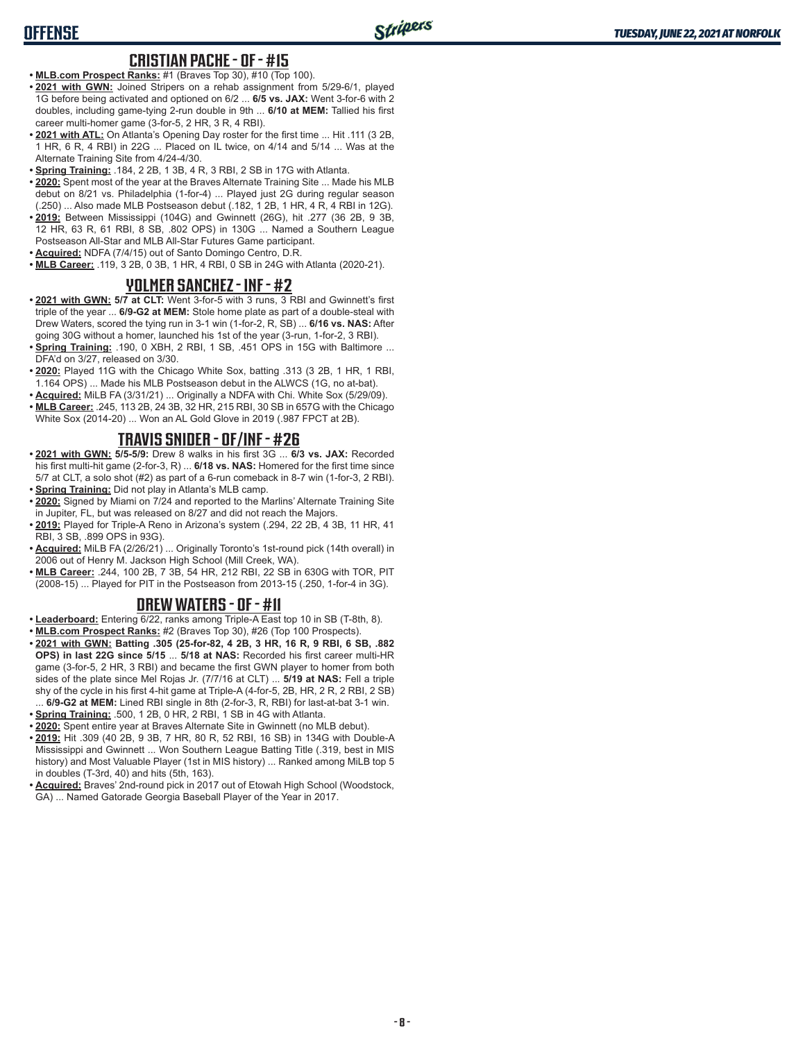#### **CRISTIAN PACHE - OF - #15**

- **• MLB.com Prospect Ranks:** #1 (Braves Top 30), #10 (Top 100).
- **• 2021 with GWN:** Joined Stripers on a rehab assignment from 5/29-6/1, played 1G before being activated and optioned on 6/2 ... **6/5 vs. JAX:** Went 3-for-6 with 2 doubles, including game-tying 2-run double in 9th ... **6/10 at MEM:** Tallied his first career multi-homer game (3-for-5, 2 HR, 3 R, 4 RBI).
- **• 2021 with ATL:** On Atlanta's Opening Day roster for the first time ... Hit .111 (3 2B, 1 HR, 6 R, 4 RBI) in 22G ... Placed on IL twice, on 4/14 and 5/14 ... Was at the Alternate Training Site from 4/24-4/30.
- **• Spring Training:** .184, 2 2B, 1 3B, 4 R, 3 RBI, 2 SB in 17G with Atlanta.
- **• 2020:** Spent most of the year at the Braves Alternate Training Site ... Made his MLB debut on 8/21 vs. Philadelphia (1-for-4) ... Played just 2G during regular season (.250) ... Also made MLB Postseason debut (.182, 1 2B, 1 HR, 4 R, 4 RBI in 12G).
- **• 2019:** Between Mississippi (104G) and Gwinnett (26G), hit .277 (36 2B, 9 3B, 12 HR, 63 R, 61 RBI, 8 SB, .802 OPS) in 130G ... Named a Southern League Postseason All-Star and MLB All-Star Futures Game participant.
- **• Acquired:** NDFA (7/4/15) out of Santo Domingo Centro, D.R.
- **• MLB Career:** .119, 3 2B, 0 3B, 1 HR, 4 RBI, 0 SB in 24G with Atlanta (2020-21).

#### **YOLMER SANCHEZ - INF - #2**

- **• 2021 with GWN: 5/7 at CLT:** Went 3-for-5 with 3 runs, 3 RBI and Gwinnett's first triple of the year ... **6/9-G2 at MEM:** Stole home plate as part of a double-steal with Drew Waters, scored the tying run in 3-1 win (1-for-2, R, SB) ... **6/16 vs. NAS:** After going 30G without a homer, launched his 1st of the year (3-run, 1-for-2, 3 RBI).
- **• Spring Training:** .190, 0 XBH, 2 RBI, 1 SB, .451 OPS in 15G with Baltimore ... DFA'd on 3/27, released on 3/30.
- **• 2020:** Played 11G with the Chicago White Sox, batting .313 (3 2B, 1 HR, 1 RBI, 1.164 OPS) ... Made his MLB Postseason debut in the ALWCS (1G, no at-bat).
- **• Acquired:** MiLB FA (3/31/21) ... Originally a NDFA with Chi. White Sox (5/29/09).
- **• MLB Career:** .245, 113 2B, 24 3B, 32 HR, 215 RBI, 30 SB in 657G with the Chicago White Sox (2014-20) ... Won an AL Gold Glove in 2019 (.987 FPCT at 2B).

## **TRAVIS SNIDER - OF/INF - #26**

- **• 2021 with GWN: 5/5-5/9:** Drew 8 walks in his first 3G ... **6/3 vs. JAX:** Recorded his first multi-hit game (2-for-3, R) ... **6/18 vs. NAS:** Homered for the first time since 5/7 at CLT, a solo shot (#2) as part of a 6-run comeback in 8-7 win (1-for-3, 2 RBI). **• Spring Training:** Did not play in Atlanta's MLB camp.
- **• 2020:** Signed by Miami on 7/24 and reported to the Marlins' Alternate Training Site in Jupiter, FL, but was released on 8/27 and did not reach the Majors.
- **• 2019:** Played for Triple-A Reno in Arizona's system (.294, 22 2B, 4 3B, 11 HR, 41 RBI, 3 SB, .899 OPS in 93G).
- **• Acquired:** MiLB FA (2/26/21) ... Originally Toronto's 1st-round pick (14th overall) in 2006 out of Henry M. Jackson High School (Mill Creek, WA).
- **• MLB Career:** .244, 100 2B, 7 3B, 54 HR, 212 RBI, 22 SB in 630G with TOR, PIT (2008-15) ... Played for PIT in the Postseason from 2013-15 (.250, 1-for-4 in 3G).

#### **DREW WATERS - OF - #11**

- **• Leaderboard:** Entering 6/22, ranks among Triple-A East top 10 in SB (T-8th, 8).
- **• MLB.com Prospect Ranks:** #2 (Braves Top 30), #26 (Top 100 Prospects).
- **• 2021 with GWN: Batting .305 (25-for-82, 4 2B, 3 HR, 16 R, 9 RBI, 6 SB, .882 OPS) in last 22G since 5/15** ... **5/18 at NAS:** Recorded his first career multi-HR game (3-for-5, 2 HR, 3 RBI) and became the first GWN player to homer from both sides of the plate since Mel Rojas Jr. (7/7/16 at CLT) ... **5/19 at NAS:** Fell a triple shy of the cycle in his first 4-hit game at Triple-A (4-for-5, 2B, HR, 2 R, 2 RBI, 2 SB) ... **6/9-G2 at MEM:** Lined RBI single in 8th (2-for-3, R, RBI) for last-at-bat 3-1 win.
- **• Spring Training:** .500, 1 2B, 0 HR, 2 RBI, 1 SB in 4G with Atlanta.
- **• 2020:** Spent entire year at Braves Alternate Site in Gwinnett (no MLB debut).
- **• 2019:** Hit .309 (40 2B, 9 3B, 7 HR, 80 R, 52 RBI, 16 SB) in 134G with Double-A Mississippi and Gwinnett ... Won Southern League Batting Title (.319, best in MIS history) and Most Valuable Player (1st in MIS history) ... Ranked among MiLB top 5 in doubles (T-3rd, 40) and hits (5th, 163).
- **• Acquired:** Braves' 2nd-round pick in 2017 out of Etowah High School (Woodstock, GA) ... Named Gatorade Georgia Baseball Player of the Year in 2017.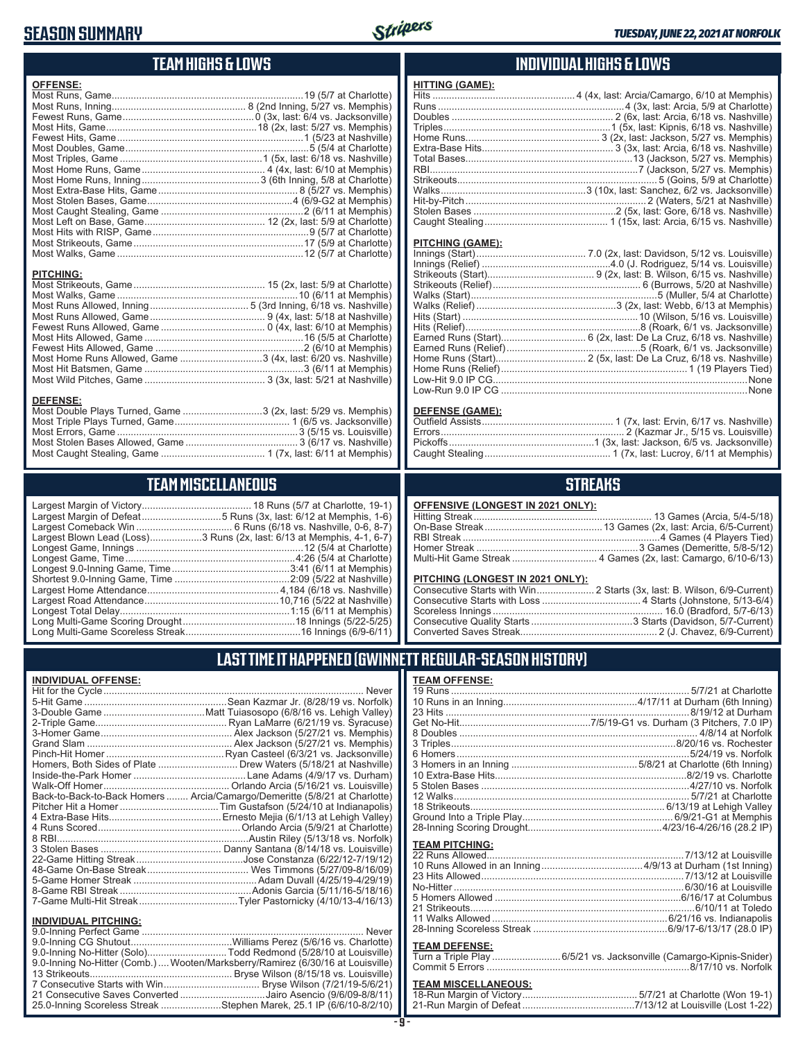# **SEASON SUMMARY**



**HITTING (GAME):**

#### **TEAM HIGHS & LOWS**

| <b>OFFENSE:</b>                                               |  |
|---------------------------------------------------------------|--|
|                                                               |  |
|                                                               |  |
|                                                               |  |
|                                                               |  |
|                                                               |  |
|                                                               |  |
|                                                               |  |
|                                                               |  |
|                                                               |  |
|                                                               |  |
|                                                               |  |
|                                                               |  |
|                                                               |  |
|                                                               |  |
|                                                               |  |
|                                                               |  |
| <b>PITCHING:</b>                                              |  |
|                                                               |  |
|                                                               |  |
|                                                               |  |
|                                                               |  |
|                                                               |  |
|                                                               |  |
|                                                               |  |
| Most Home Runs Allowed, Game 3 (4x, last: 6/20 vs. Nashville) |  |
|                                                               |  |
|                                                               |  |
|                                                               |  |
| <b>DEFENSE:</b>                                               |  |
| Most Double Plays Turned, Game 3 (2x, last: 5/29 vs. Memphis) |  |

Most Triple Plays Turned, Game .......................................... 1 (6/5 vs. Jacksonville) Most Errors, Game ..................................................................3 (5/15 vs. Louisville) Most Stolen Bases Allowed, Game ......................................... 3 (6/17 vs. Nashville) Most Caught Stealing, Game ...................................... 1 (7x, last: 6/11 at Memphis)

**TEAM MISCELLANEOUS** Largest Margin of Victory........................................ 18 Runs (5/7 at Charlotte, 19-1) Largest Margin of Defeat.............................5 Runs (3x, last: 6/12 at Memphis, 1-6) Largest Comeback Win ................................... 6 Runs (6/18 vs. Nashville, 0-6, 8-7) Largest Blown Lead (Loss)...................3 Runs (2x, last: 6/13 at Memphis, 4-1, 6-7) Longest Game, Innings .............................................................12 (5/4 at Charlotte) Longest Game, Time ..............................................................4:26 (5/4 at Charlotte) Longest 9.0-Inning Game, Time ...........................................3:41 (6/11 at Memphis) Shortest 9.0-Inning Game, Time ..........................................2:09 (5/22 at Nashville) Largest Home Attendance ................................................ 4,184 (6/18 vs. Nashville) Largest Road Attendance .................................................10,716 (5/22 at Nashville) Longest Total Delay..............................................................1:15 (6/11 at Memphis) Long Multi-Game Scoring Drought .........................................18 Innings (5/22-5/25) Long Multi-Game Scoreless Streak ..........................................16 Innings (6/9-6/11)

#### **INDIVIDUAL HIGHS & LOWS**

| <u></u>          |                                                                  |
|------------------|------------------------------------------------------------------|
|                  |                                                                  |
|                  |                                                                  |
|                  |                                                                  |
|                  |                                                                  |
|                  |                                                                  |
|                  |                                                                  |
|                  |                                                                  |
|                  |                                                                  |
|                  |                                                                  |
|                  |                                                                  |
|                  |                                                                  |
|                  |                                                                  |
|                  |                                                                  |
|                  |                                                                  |
| PITCHING (GAME): |                                                                  |
|                  |                                                                  |
|                  |                                                                  |
|                  |                                                                  |
|                  |                                                                  |
|                  |                                                                  |
|                  |                                                                  |
|                  |                                                                  |
|                  |                                                                  |
|                  |                                                                  |
|                  |                                                                  |
|                  | Earned Runs (Start) 6 (2x, last: De La Cruz, 6/18 vs. Nashville) |
|                  |                                                                  |
|                  |                                                                  |

#### **DEFENSE (GAME):**

Low-Hit 9.0 IP CG.............................................................................................None Low-Run 9.0 IP CG ..........................................................................................None

#### **STREAKS**

#### **OFFENSIVE (LONGEST IN 2021 ONLY):**

#### **PITCHING (LONGEST IN 2021 ONLY)**

19 Runs ....................................................................................... 5/7/21 at Charlotte 10 Runs in an Inning.................................................4/17/11 at Durham (6th Inning) 23 Hits .........................................................................................8/19/12 at Durham Get No-Hit................................................7/5/19-G1 vs. Durham (3 Pitchers, 7.0 IP) 8 Doubles ....................................................................................... 4/8/14 at Norfolk 3 Triples..................................................................................8/20/16 vs. Rochester 6 Homers.....................................................................................5/24/19 vs. Norfolk 3 Homers in an Inning ..............................................5/8/21 at Charlotte (6th Inning) 10 Extra-Base Hits......................................................................8/2/19 vs. Charlotte 5 Stolen Bases ............................................................................4/27/10 vs. Norfolk 12 Walks...................................................................................... 5/7/21 at Charlotte 18 Strikeouts....................................................................... 6/13/19 at Lehigh Valley Ground Into a Triple Play....................................................... 6/9/21-G1 at Memphis 28-Inning Scoring Drought.................................................4/23/16-4/26/16 (28.2 IP)

#### **LAST TIME IT HAPPENED (GWINNETT REGULAR-SEASON HISTORY)**

**TEAM OFFENSE:**

#### **INDIVIDUAL OFFENSE:**

|                             | Homers, Both Sides of Plate  Drew Waters (5/18/21 at Nashville)            |
|-----------------------------|----------------------------------------------------------------------------|
|                             |                                                                            |
|                             |                                                                            |
|                             | Back-to-Back-to-Back Homers  Arcia/Camargo/Demeritte (5/8/21 at Charlotte) |
|                             |                                                                            |
|                             |                                                                            |
|                             |                                                                            |
|                             |                                                                            |
|                             |                                                                            |
|                             |                                                                            |
|                             |                                                                            |
|                             |                                                                            |
|                             |                                                                            |
|                             |                                                                            |
|                             |                                                                            |
| <b>INDIVIDUAL PITCHING:</b> |                                                                            |
|                             |                                                                            |

| 9.0-Inning No-Hitter (Solo)Todd Redmond (5/28/10 at Louisville)                |  |
|--------------------------------------------------------------------------------|--|
| 9.0-Inning No-Hitter (Comb.) Wooten/Marksberry/Ramirez (6/30/16 at Louisville) |  |
|                                                                                |  |
|                                                                                |  |
| 21 Consecutive Saves Converted Jairo Asencio (9/6/09-8/8/11)                   |  |
| 25.0-Inning Scoreless Streak Stephen Marek, 25.1 IP (6/6/10-8/2/10)            |  |
|                                                                                |  |

# **TEAM PITCHING:**<br>22 Runs Allowed

 $7/13/12$  at Louisville

#### **TEAM DEFENSE:**

| Turn a Triple Play 6/5/21 vs. Jacksonville (Camargo-Kipnis-Snider) |
|--------------------------------------------------------------------|
|                                                                    |

## **TEAM MISCELLANEOUS:**